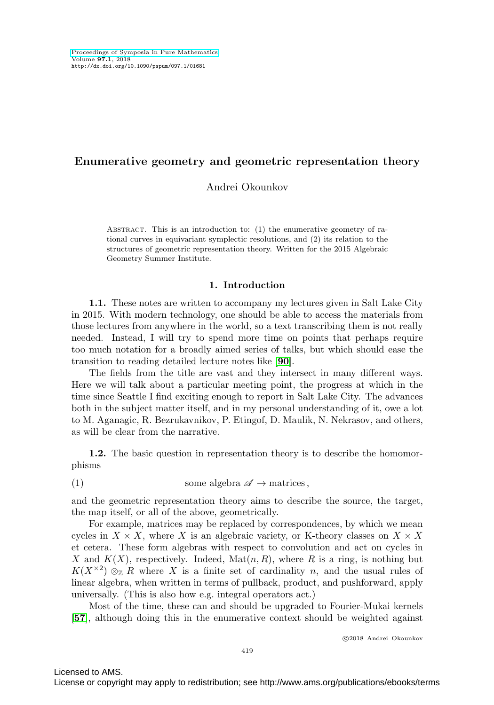# **Enumerative geometry and geometric representation theory**

# Andrei Okounkov

Abstract. This is an introduction to: (1) the enumerative geometry of rational curves in equivariant symplectic resolutions, and (2) its relation to the structures of geometric representation theory. Written for the 2015 Algebraic Geometry Summer Institute.

# **1. Introduction**

**1.1.** These notes are written to accompany my lectures given in Salt Lake City in 2015. With modern technology, one should be able to access the materials from those lectures from anywhere in the world, so a text transcribing them is not really needed. Instead, I will try to spend more time on points that perhaps require too much notation for a broadly aimed series of talks, but which should ease the transition to reading detailed lecture notes like [**[90](#page-37-0)**].

The fields from the title are vast and they intersect in many different ways. Here we will talk about a particular meeting point, the progress at which in the time since Seattle I find exciting enough to report in Salt Lake City. The advances both in the subject matter itself, and in my personal understanding of it, owe a lot to M. Aganagic, R. Bezrukavnikov, P. Etingof, D. Maulik, N. Nekrasov, and others, as will be clear from the narrative.

**1.2.** The basic question in representation theory is to describe the homomorphisms

<span id="page-0-0"></span>(1) some algebra  $\mathscr{A} \to$  matrices,

and the geometric representation theory aims to describe the source, the target, the map itself, or all of the above, geometrically.

For example, matrices may be replaced by correspondences, by which we mean cycles in  $X \times X$ , where X is an algebraic variety, or K-theory classes on  $X \times X$ et cetera. These form algebras with respect to convolution and act on cycles in X and  $K(X)$ , respectively. Indeed,  $\text{Mat}(n, R)$ , where R is a ring, is nothing but  $K(X^{\times 2}) \otimes_{\mathbb{Z}} R$  where X is a finite set of cardinality n, and the usual rules of linear algebra, when written in terms of pullback, product, and pushforward, apply universally. (This is also how e.g. integral operators act.)

Most of the time, these can and should be upgraded to Fourier-Mukai kernels [**[57](#page-36-0)**], although doing this in the enumerative context should be weighted against

Licensed to AMS.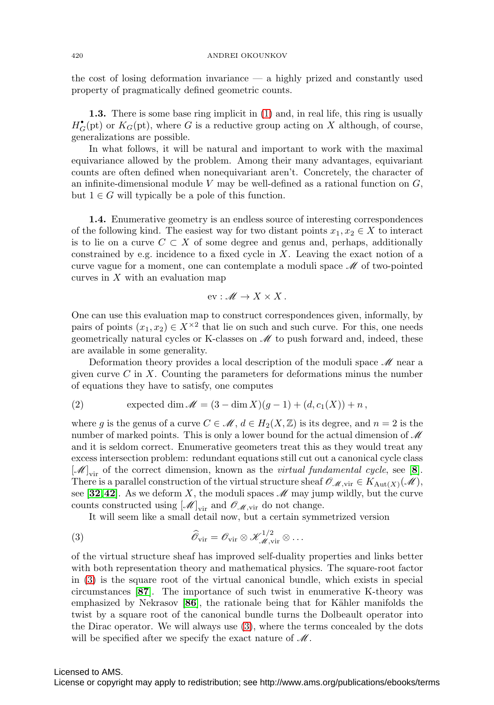the cost of losing deformation invariance — a highly prized and constantly used property of pragmatically defined geometric counts.

**1.3.** There is some base ring implicit in [\(1\)](#page-0-0) and, in real life, this ring is usually  $H_G^{\bullet}(\text{pt})$  or  $K_G(\text{pt})$ , where G is a reductive group acting on X although, of course, generalizations are possible.

In what follows, it will be natural and important to work with the maximal equivariance allowed by the problem. Among their many advantages, equivariant counts are often defined when nonequivariant aren't. Concretely, the character of an infinite-dimensional module  $V$  may be well-defined as a rational function on  $G$ , but  $1 \in G$  will typically be a pole of this function.

<span id="page-1-1"></span>**1.4.** Enumerative geometry is an endless source of interesting correspondences of the following kind. The easiest way for two distant points  $x_1, x_2 \in X$  to interact is to lie on a curve  $C \subset X$  of some degree and genus and, perhaps, additionally constrained by e.g. incidence to a fixed cycle in  $X$ . Leaving the exact notion of a curve vague for a moment, one can contemplate a moduli space  $\mathcal M$  of two-pointed curves in  $X$  with an evaluation map

$$
ev: \mathscr{M} \to X \times X.
$$

One can use this evaluation map to construct correspondences given, informally, by pairs of points  $(x_1, x_2) \in X^{\times 2}$  that lie on such and such curve. For this, one needs geometrically natural cycles or K-classes on M to push forward and, indeed, these are available in some generality.

Deformation theory provides a local description of the moduli space  $\mathcal M$  near a given curve  $C$  in  $X$ . Counting the parameters for deformations minus the number of equations they have to satisfy, one computes

<span id="page-1-2"></span>(2) expected dim 
$$
\mathcal{M} = (3 - \dim X)(g - 1) + (d, c_1(X)) + n
$$
,

where g is the genus of a curve  $C \in \mathcal{M}, d \in H_2(X, \mathbb{Z})$  is its degree, and  $n = 2$  is the number of marked points. This is only a lower bound for the actual dimension of  $\mathcal M$ and it is seldom correct. Enumerative geometers treat this as they would treat any excess intersection problem: redundant equations still cut out a canonical cycle class [M] vir of the correct dimension, known as the virtual fundamental cycle, see [**[8](#page-33-0)**]. There is a parallel construction of the virtual structure sheaf  $\mathscr{O}_{\mathscr{M},\text{vir}} \in K_{\text{Aut}(X)}(\mathscr{M}),$ see [[32](#page-35-0),[42](#page-35-1)]. As we deform X, the moduli spaces  $\mathcal M$  may jump wildly, but the curve counts constructed using  $[\mathcal{M}]_{\text{vir}}$  and  $\mathcal{O}_{\mathcal{M},\text{vir}}$  do not change.

It will seem like a small detail now, but a certain symmetrized version

<span id="page-1-0"></span>(3) 
$$
\widehat{\mathcal{O}}_{\text{vir}} = \mathcal{O}_{\text{vir}} \otimes \mathcal{K}_{\mathcal{M}, \text{vir}}^{1/2} \otimes \dots
$$

of the virtual structure sheaf has improved self-duality properties and links better with both representation theory and mathematical physics. The square-root factor in [\(3\)](#page-1-0) is the square root of the virtual canonical bundle, which exists in special circumstances [**[87](#page-37-1)**]. The importance of such twist in enumerative K-theory was emphasized by Nekrasov [[86](#page-37-2)], the rationale being that for Kähler manifolds the twist by a square root of the canonical bundle turns the Dolbeault operator into the Dirac operator. We will always use [\(3\)](#page-1-0), where the terms concealed by the dots will be specified after we specify the exact nature of  $\mathcal{M}$ .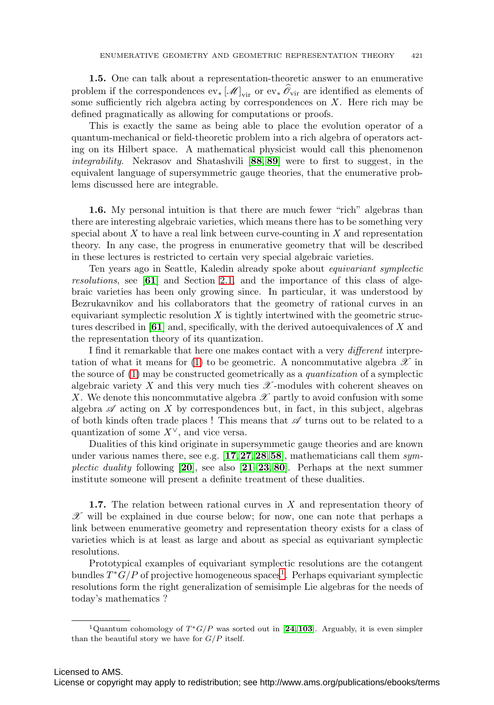**1.5.** One can talk about a representation-theoretic answer to an enumerative problem if the correspondences  $ev_*[\mathcal{M}]_{\text{vir}}$  or  $ev_*\mathcal{O}_{\text{vir}}$  are identified as elements of some sufficiently rich algebra acting by correspondences on  $X$ . Here rich may be defined pragmatically as allowing for computations or proofs.

This is exactly the same as being able to place the evolution operator of a quantum-mechanical or field-theoretic problem into a rich algebra of operators acting on its Hilbert space. A mathematical physicist would call this phenomenon integrability. Nekrasov and Shatashvili [**[88](#page-37-3)**, **[89](#page-37-4)**] were to first to suggest, in the equivalent language of supersymmetric gauge theories, that the enumerative problems discussed here are integrable.

**1.6.** My personal intuition is that there are much fewer "rich" algebras than there are interesting algebraic varieties, which means there has to be something very special about  $X$  to have a real link between curve-counting in  $X$  and representation theory. In any case, the progress in enumerative geometry that will be described in these lectures is restricted to certain very special algebraic varieties.

Ten years ago in Seattle, Kaledin already spoke about equivariant symplectic resolutions, see [**[61](#page-36-1)**] and Section [2.1,](#page-7-0) and the importance of this class of algebraic varieties has been only growing since. In particular, it was understood by Bezrukavnikov and his collaborators that the geometry of rational curves in an equivariant symplectic resolution  $X$  is tightly intertwined with the geometric structures described in [**[61](#page-36-1)**] and, specifically, with the derived autoequivalences of X and the representation theory of its quantization.

I find it remarkable that here one makes contact with a very different interpre-tation of what it means for [\(1\)](#page-0-0) to be geometric. A noncommutative algebra  $\mathscr X$  in the source of [\(1\)](#page-0-0) may be constructed geometrically as a quantization of a symplectic algebraic variety X and this very much ties  $\mathscr X$ -modules with coherent sheaves on X. We denote this noncommutative algebra  $\mathscr X$  partly to avoid confusion with some algebra  $\mathscr A$  acting on X by correspondences but, in fact, in this subject, algebras of both kinds often trade places ! This means that  $\mathscr A$  turns out to be related to a quantization of some  $X^{\vee}$ , and vice versa.

Dualities of this kind originate in supersymmetic gauge theories and are known under various names there, see e.g. [**[17](#page-34-0)**,**[27](#page-34-1)**,**[28](#page-34-2)**,**[58](#page-36-2)**], mathematicians call them symplectic duality following [**[20](#page-34-3)**], see also [**[21](#page-34-4)**–**[23](#page-34-5)**, **[80](#page-36-3)**]. Perhaps at the next summer institute someone will present a definite treatment of these dualities.

**1.7.** The relation between rational curves in X and representation theory of  $\mathscr X$  will be explained in due course below; for now, one can note that perhaps a link between enumerative geometry and representation theory exists for a class of varieties which is at least as large and about as special as equivariant symplectic resolutions.

Prototypical examples of equivariant symplectic resolutions are the cotangent bundles  $T^*G/P$  of projective homogeneous spaces<sup>[1](#page-2-0)</sup>. Perhaps equivariant symplectic resolutions form the right generalization of semisimple Lie algebras for the needs of today's mathematics ?

<span id="page-2-0"></span><sup>&</sup>lt;sup>1</sup>Quantum cohomology of  $T^*G/P$  was sorted out in [[24](#page-34-6), [103](#page-37-5)]. Arguably, it is even simpler than the beautiful story we have for  $G/P$  itself.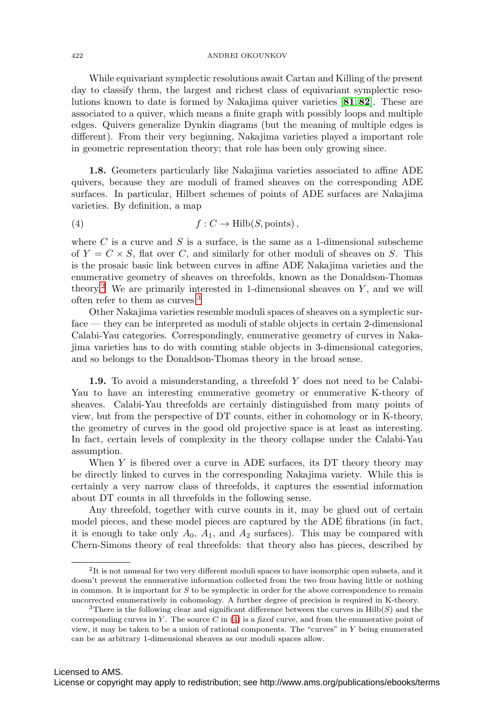#### 422 ANDREI OKOUNKOV

While equivariant symplectic resolutions await Cartan and Killing of the present day to classify them, the largest and richest class of equivariant symplectic resolutions known to date is formed by Nakajima quiver varieties [**[81](#page-37-6)**, **[82](#page-37-7)**]. These are associated to a quiver, which means a finite graph with possibly loops and multiple edges. Quivers generalize Dynkin diagrams (but the meaning of multiple edges is different). From their very beginning, Nakajima varieties played a important role in geometric representation theory; that role has been only growing since.

**1.8.** Geometers particularly like Nakajima varieties associated to affine ADE quivers, because they are moduli of framed sheaves on the corresponding ADE surfaces. In particular, Hilbert schemes of points of ADE surfaces are Nakajima varieties. By definition, a map

<span id="page-3-2"></span>(4) 
$$
f: C \to \text{Hilb}(S, \text{points}),
$$

where C is a curve and S is a surface, is the same as a 1-dimensional subscheme of  $Y = C \times S$ , flat over C, and similarly for other moduli of sheaves on S. This is the prosaic basic link between curves in affine ADE Nakajima varieties and the enumerative geometry of sheaves on threefolds, known as the Donaldson-Thomas theory.<sup>[2](#page-3-0)</sup> We are primarily interested in 1-dimensional sheaves on  $Y$ , and we will often refer to them as curves.[3](#page-3-1)

Other Nakajima varieties resemble moduli spaces of sheaves on a symplectic surface — they can be interpreted as moduli of stable objects in certain 2-dimensional Calabi-Yau categories. Correspondingly, enumerative geometry of curves in Nakajima varieties has to do with counting stable objects in 3-dimensional categories, and so belongs to the Donaldson-Thomas theory in the broad sense.

**1.9.** To avoid a misunderstanding, a threefold Y does not need to be Calabi-Yau to have an interesting enumerative geometry or enumerative K-theory of sheaves. Calabi-Yau threefolds are certainly distinguished from many points of view, but from the perspective of DT counts, either in cohomology or in K-theory, the geometry of curves in the good old projective space is at least as interesting. In fact, certain levels of complexity in the theory collapse under the Calabi-Yau assumption.

When Y is fibered over a curve in ADE surfaces, its DT theory theory may be directly linked to curves in the corresponding Nakajima variety. While this is certainly a very narrow class of threefolds, it captures the essential information about DT counts in all threefolds in the following sense.

Any threefold, together with curve counts in it, may be glued out of certain model pieces, and these model pieces are captured by the ADE fibrations (in fact, it is enough to take only  $A_0$ ,  $A_1$ , and  $A_2$  surfaces). This may be compared with Chern-Simons theory of real threefolds: that theory also has pieces, described by

<span id="page-3-0"></span><sup>&</sup>lt;sup>2</sup>It is not unusual for two very different moduli spaces to have isomorphic open subsets, and it doesn't prevent the enumerative information collected from the two from having little or nothing in common. It is important for S to be symplectic in order for the above correspondence to remain uncorrected enumeratively in cohomology. A further degree of precision is required in K-theory.

<span id="page-3-1"></span><sup>&</sup>lt;sup>3</sup>There is the following clear and significant difference between the curves in  $Hilb(S)$  and the corresponding curves in Y. The source  $C$  in [\(4\)](#page-3-2) is a fixed curve, and from the enumerative point of view, it may be taken to be a union of rational components. The "curves" in Y being enumerated can be as arbitrary 1-dimensional sheaves as our moduli spaces allow.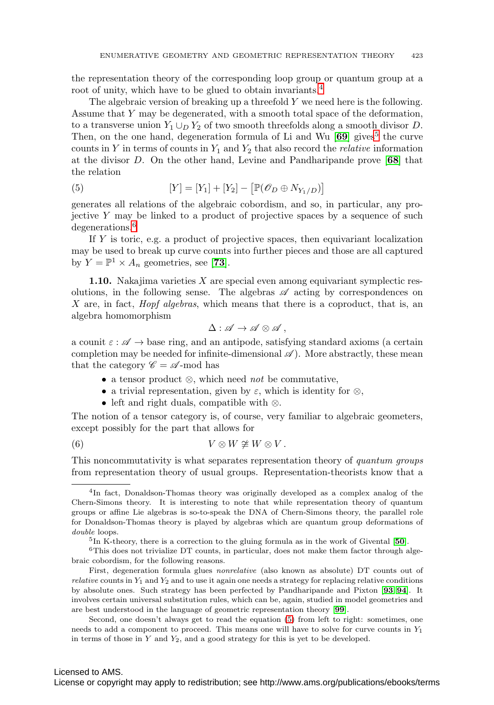the representation theory of the corresponding loop group or quantum group at a root of unity, which have to be glued to obtain invariants.<sup>[4](#page-4-0)</sup>

The algebraic version of breaking up a threefold Y we need here is the following. Assume that Y may be degenerated, with a smooth total space of the deformation, to a transverse union  $Y_1 \cup_D Y_2$  of two smooth threefolds along a smooth divisor D. Then, on the one hand, degeneration formula of Li and Wu  $[69]$  $[69]$  $[69]$  gives<sup>[5](#page-4-1)</sup> the curve counts in Y in terms of counts in  $Y_1$  and  $Y_2$  that also record the *relative* information at the divisor D. On the other hand, Levine and Pandharipande prove [**[68](#page-36-5)**] that the relation

<span id="page-4-3"></span>(5) 
$$
[Y] = [Y_1] + [Y_2] - [\mathbb{P}(\mathscr{O}_D \oplus N_{Y_1/D})]
$$

generates all relations of the algebraic cobordism, and so, in particular, any projective Y may be linked to a product of projective spaces by a sequence of such degenerations.<sup>[6](#page-4-2)</sup>

If  $Y$  is toric, e.g. a product of projective spaces, then equivariant localization may be used to break up curve counts into further pieces and those are all captured by  $Y = \mathbb{P}^1 \times A_n$  geometries, see [[73](#page-36-6)].

<span id="page-4-5"></span>**1.10.** Nakajima varieties X are special even among equivariant symplectic resolutions, in the following sense. The algebras  $\mathscr A$  acting by correspondences on X are, in fact, *Hopf algebras*, which means that there is a coproduct, that is, an algebra homomorphism

$$
\Delta: \mathscr{A} \to \mathscr{A} \otimes \mathscr{A},
$$

a counit  $\varepsilon : \mathscr{A} \to \mathsf{base}$  ring, and an antipode, satisfying standard axioms (a certain completion may be needed for infinite-dimensional  $\mathscr A$ ). More abstractly, these mean that the category  $\mathscr{C} = \mathscr{A}$ -mod has

- a tensor product  $\otimes$ , which need *not* be commutative,
- a trivial representation, given by  $\varepsilon$ , which is identity for  $\otimes$ ,
- left and right duals, compatible with ⊗.

The notion of a tensor category is, of course, very familiar to algebraic geometers, except possibly for the part that allows for

<span id="page-4-4"></span>(6) 
$$
V \otimes W \not\cong W \otimes V.
$$

This noncommutativity is what separates representation theory of quantum groups from representation theory of usual groups. Representation-theorists know that a

<span id="page-4-0"></span><sup>4</sup>In fact, Donaldson-Thomas theory was originally developed as a complex analog of the Chern-Simons theory. It is interesting to note that while representation theory of quantum groups or affine Lie algebras is so-to-speak the DNA of Chern-Simons theory, the parallel role for Donaldson-Thomas theory is played by algebras which are quantum group deformations of double loops.

<span id="page-4-2"></span><span id="page-4-1"></span><sup>5</sup>In K-theory, there is a correction to the gluing formula as in the work of Givental [**[50](#page-35-2)**].

 $6$ This does not trivialize DT counts, in particular, does not make them factor through algebraic cobordism, for the following reasons.

First, degeneration formula glues nonrelative (also known as absolute) DT counts out of *relative* counts in  $Y_1$  and  $Y_2$  and to use it again one needs a strategy for replacing relative conditions by absolute ones. Such strategy has been perfected by Pandharipande and Pixton [**[93](#page-37-8)**, **[94](#page-37-9)**]. It involves certain universal substitution rules, which can be, again, studied in model geometries and are best understood in the language of geometric representation theory [**[99](#page-37-10)**].

Second, one doesn't always get to read the equation [\(5\)](#page-4-3) from left to right: sometimes, one needs to add a component to proceed. This means one will have to solve for curve counts in  $Y_1$ in terms of those in  $Y$  and  $Y_2$ , and a good strategy for this is yet to be developed.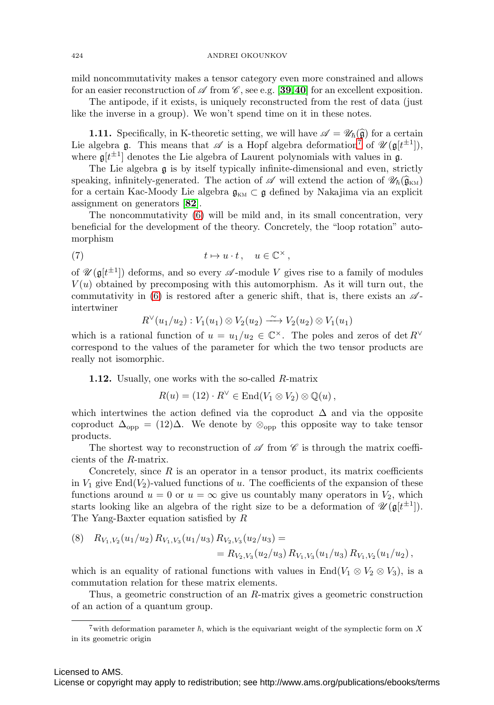mild noncommutativity makes a tensor category even more constrained and allows for an easier reconstruction of  $\mathscr A$  from  $\mathscr C$ , see e.g. [[39](#page-35-3),[40](#page-35-4)] for an excellent exposition.

The antipode, if it exists, is uniquely reconstructed from the rest of data (just like the inverse in a group). We won't spend time on it in these notes.

**1.11.** Specifically, in K-theoretic setting, we will have  $\mathscr{A} = \mathscr{U}_{\hbar}(\hat{\mathfrak{g}})$  for a certain Lie algebra  $\mathfrak g$ . This means that  $\mathscr A$  is a Hopf algebra deformation<sup>[7](#page-5-0)</sup> of  $\mathscr U(\mathfrak{gl}^{t+1}),$ where  $\mathfrak{g}[t^{\pm 1}]$  denotes the Lie algebra of Laurent polynomials with values in g.

The Lie algebra g is by itself typically infinite-dimensional and even, strictly speaking, infinitely-generated. The action of  $\mathscr{A}$  will extend the action of  $\mathscr{U}_{\hbar}(\hat{\mathfrak{g}}_{\scriptscriptstyle{\text{KM}}})$ for a certain Kac-Moody Lie algebra  $\mathfrak{g}_{\scriptscriptstyle KM} \subset \mathfrak{g}$  defined by Nakajima via an explicit assignment on generators [**[82](#page-37-7)**].

The noncommutativity [\(6\)](#page-4-4) will be mild and, in its small concentration, very beneficial for the development of the theory. Concretely, the "loop rotation" automorphism

<span id="page-5-3"></span>(7) 
$$
t \mapsto u \cdot t, \quad u \in \mathbb{C}^{\times}
$$

of  $\mathscr{U}(\mathfrak{g}[t^{\pm 1}])$  deforms, and so every  $\mathscr{A}$ -module V gives rise to a family of modules  $V(u)$  obtained by precomposing with this automorphism. As it will turn out, the commutativity in [\(6\)](#page-4-4) is restored after a generic shift, that is, there exists an  $\mathscr{A}$ intertwiner

$$
R^{\vee}(u_1/u_2): V_1(u_1) \otimes V_2(u_2) \xrightarrow{\sim} V_2(u_2) \otimes V_1(u_1)
$$

which is a rational function of  $u = u_1/u_2 \in \mathbb{C}^{\times}$ . The poles and zeros of det  $R^{\vee}$ correspond to the values of the parameter for which the two tensor products are really not isomorphic.

<span id="page-5-2"></span>**1.12.** Usually, one works with the so-called R-matrix

$$
R(u) = (12) \cdot R^{\vee} \in \text{End}(V_1 \otimes V_2) \otimes \mathbb{Q}(u),
$$

which intertwines the action defined via the coproduct  $\Delta$  and via the opposite coproduct  $\Delta_{\text{opp}} = (12)\Delta$ . We denote by  $\otimes_{\text{opp}}$  this opposite way to take tensor products.

The shortest way to reconstruction of  $\mathscr A$  from  $\mathscr C$  is through the matrix coefficients of the R-matrix.

Concretely, since  $R$  is an operator in a tensor product, its matrix coefficients in  $V_1$  give End( $V_2$ )-valued functions of u. The coefficients of the expansion of these functions around  $u = 0$  or  $u = \infty$  give us countably many operators in  $V_2$ , which starts looking like an algebra of the right size to be a deformation of  $\mathscr{U}(\mathfrak{gl}t^{\pm 1})$ . The Yang-Baxter equation satisfied by R

<span id="page-5-1"></span>(8) 
$$
R_{V_1,V_2}(u_1/u_2) R_{V_1,V_3}(u_1/u_3) R_{V_2,V_3}(u_2/u_3) =
$$
  
=  $R_{V_2,V_3}(u_2/u_3) R_{V_1,V_3}(u_1/u_3) R_{V_1,V_2}(u_1/u_2),$ 

which is an equality of rational functions with values in  $\text{End}(V_1 \otimes V_2 \otimes V_3)$ , is a commutation relation for these matrix elements.

Thus, a geometric construction of an R-matrix gives a geometric construction of an action of a quantum group.

<span id="page-5-0"></span><sup>&</sup>lt;sup>7</sup>with deformation parameter  $\hbar$ , which is the equivariant weight of the symplectic form on X in its geometric origin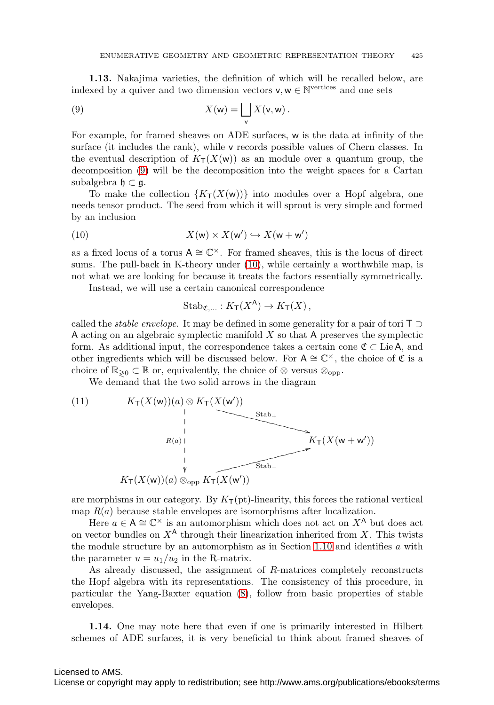**1.13.** Nakajima varieties, the definition of which will be recalled below, are indexed by a quiver and two dimension vectors  $v, w \in \mathbb{N}$ <sup>vertices</sup> and one sets

<span id="page-6-0"></span>(9) 
$$
X(\mathsf{w}) = \bigsqcup_{\mathsf{v}} X(\mathsf{v}, \mathsf{w}).
$$

For example, for framed sheaves on ADE surfaces, w is the data at infinity of the surface (it includes the rank), while v records possible values of Chern classes. In the eventual description of  $K_T(X(w))$  as an module over a quantum group, the decomposition [\(9\)](#page-6-0) will be the decomposition into the weight spaces for a Cartan subalgebra  $\mathfrak{h} \subset \mathfrak{a}$ .

To make the collection  $\{K_T(X(w))\}$  into modules over a Hopf algebra, one needs tensor product. The seed from which it will sprout is very simple and formed by an inclusion

<span id="page-6-1"></span>(10) 
$$
X(\mathsf{w}) \times X(\mathsf{w}') \hookrightarrow X(\mathsf{w} + \mathsf{w}')
$$

as a fixed locus of a torus A ≅  $\mathbb{C}^{\times}$ . For framed sheaves, this is the locus of direct sums. The pull-back in K-theory under [\(10\)](#page-6-1), while certainly a worthwhile map, is not what we are looking for because it treats the factors essentially symmetrically.

Instead, we will use a certain canonical correspondence

$$
Stab_{\mathfrak{C},\dots}: K_{\mathsf{T}}(X^{\mathsf{A}})\to K_{\mathsf{T}}(X)\,,
$$

called the *stable envelope*. It may be defined in some generality for a pair of tori  $\mathsf{T} \supset$ A acting on an algebraic symplectic manifold  $X$  so that A preserves the symplectic form. As additional input, the correspondence takes a certain cone  $\mathfrak{C} \subset \text{Lie } A$ , and other ingredients which will be discussed below. For  $A \cong \mathbb{C}^{\times}$ , the choice of  $\mathfrak{C}$  is a choice of  $\mathbb{R}_{\geqslant 0} \subset \mathbb{R}$  or, equivalently, the choice of  $\otimes$  versus  $\otimes_{\text{opp}}$ .

We demand that the two solid arrows in the diagram



are morphisms in our category. By  $K<sub>T</sub>(pt)$ -linearity, this forces the rational vertical map  $R(a)$  because stable envelopes are isomorphisms after localization.

Here  $a \in A \cong \mathbb{C}^\times$  is an automorphism which does not act on  $X^A$  but does act on vector bundles on  $X^{\mathsf{A}}$  through their linearization inherited from X. This twists the module structure by an automorphism as in Section [1.10](#page-4-5) and identifies a with the parameter  $u = u_1/u_2$  in the R-matrix.

As already discussed, the assignment of R-matrices completely reconstructs the Hopf algebra with its representations. The consistency of this procedure, in particular the Yang-Baxter equation [\(8\)](#page-5-1), follow from basic properties of stable envelopes.

**1.14.** One may note here that even if one is primarily interested in Hilbert schemes of ADE surfaces, it is very beneficial to think about framed sheaves of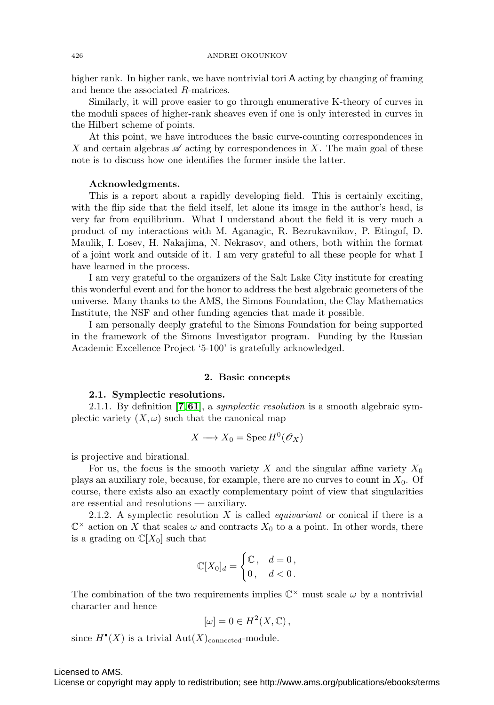higher rank. In higher rank, we have nontrivial tori A acting by changing of framing and hence the associated R-matrices.

Similarly, it will prove easier to go through enumerative K-theory of curves in the moduli spaces of higher-rank sheaves even if one is only interested in curves in the Hilbert scheme of points.

At this point, we have introduces the basic curve-counting correspondences in X and certain algebras  $\mathscr A$  acting by correspondences in X. The main goal of these note is to discuss how one identifies the former inside the latter.

# **Acknowledgments.**

This is a report about a rapidly developing field. This is certainly exciting, with the flip side that the field itself, let alone its image in the author's head, is very far from equilibrium. What I understand about the field it is very much a product of my interactions with M. Aganagic, R. Bezrukavnikov, P. Etingof, D. Maulik, I. Losev, H. Nakajima, N. Nekrasov, and others, both within the format of a joint work and outside of it. I am very grateful to all these people for what I have learned in the process.

I am very grateful to the organizers of the Salt Lake City institute for creating this wonderful event and for the honor to address the best algebraic geometers of the universe. Many thanks to the AMS, the Simons Foundation, the Clay Mathematics Institute, the NSF and other funding agencies that made it possible.

I am personally deeply grateful to the Simons Foundation for being supported in the framework of the Simons Investigator program. Funding by the Russian Academic Excellence Project '5-100' is gratefully acknowledged.

#### **2. Basic concepts**

# <span id="page-7-0"></span>**2.1. Symplectic resolutions.**

2.1.1. By definition [**[7](#page-33-1)**,**[61](#page-36-1)**], a symplectic resolution is a smooth algebraic symplectic variety  $(X, \omega)$  such that the canonical map

$$
X \longrightarrow X_0 = \operatorname{Spec} H^0(\mathscr{O}_X)
$$

is projective and birational.

For us, the focus is the smooth variety X and the singular affine variety  $X_0$ plays an auxiliary role, because, for example, there are no curves to count in  $X_0$ . Of course, there exists also an exactly complementary point of view that singularities are essential and resolutions — auxiliary.

2.1.2. A symplectic resolution  $X$  is called *equivariant* or conical if there is a  $\mathbb{C}^\times$  action on X that scales  $\omega$  and contracts  $X_0$  to a a point. In other words, there is a grading on  $\mathbb{C}[X_0]$  such that

$$
\mathbb{C}[X_0]_d = \begin{cases} \mathbb{C} \,, & d = 0 \,, \\ 0 \,, & d < 0 \,.
$$

The combination of the two requirements implies  $\mathbb{C}^{\times}$  must scale  $\omega$  by a nontrivial character and hence

$$
[\omega] = 0 \in H^2(X, \mathbb{C}),
$$

since  $H^{\bullet}(X)$  is a trivial  $Aut(X)_{\text{connected}}$ -module.

Licensed to AMS.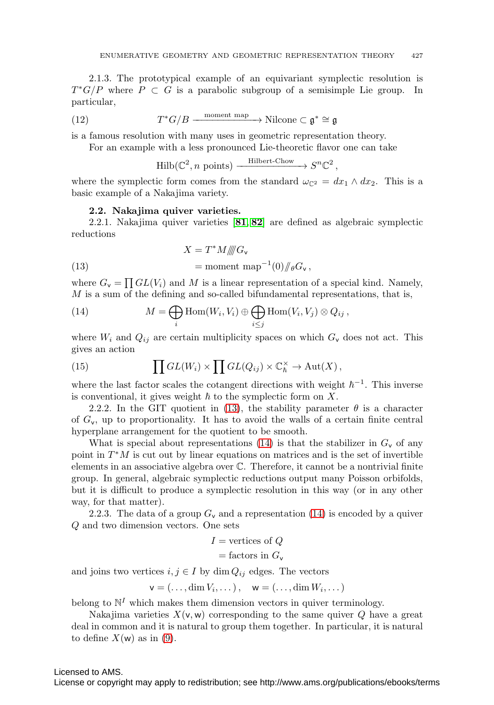2.1.3. The prototypical example of an equivariant symplectic resolution is  $T^*G/P$  where  $P \subset G$  is a parabolic subgroup of a semisimple Lie group. In particular,

<span id="page-8-2"></span>(12) 
$$
T^*G/B \xrightarrow{\text{moment map}} \text{Nilcone} \subset \mathfrak{g}^* \cong \mathfrak{g}
$$

is a famous resolution with many uses in geometric representation theory.

For an example with a less pronounced Lie-theoretic flavor one can take

$$
\text{Hilb}(\mathbb{C}^2, n \text{ points}) \xrightarrow{\text{Hilbert-Chow}} S^n \mathbb{C}^2,
$$

where the symplectic form comes from the standard  $\omega_{\mathbb{C}^2} = dx_1 \wedge dx_2$ . This is a basic example of a Nakajima variety.

#### **2.2. Nakajima quiver varieties.**

<span id="page-8-4"></span>2.2.1. Nakajima quiver varieties [**[81](#page-37-6)**, **[82](#page-37-7)**] are defined as algebraic symplectic reductions

<span id="page-8-0"></span>(13) 
$$
X = T^*M \parallel \parallel G_v
$$

$$
= \text{moment map}^{-1}(0) \parallel_{\theta} G_v,
$$

where  $G_v = \prod GL(V_i)$  and M is a linear representation of a special kind. Namely,  $M$  is a sum of the defining and so-called bifundamental representations, that is,

<span id="page-8-1"></span>(14) 
$$
M = \bigoplus_i \text{Hom}(W_i, V_i) \oplus \bigoplus_{i \leq j} \text{Hom}(V_i, V_j) \otimes Q_{ij},
$$

where  $W_i$  and  $Q_{ij}$  are certain multiplicity spaces on which  $G_v$  does not act. This gives an action

<span id="page-8-3"></span>(15) 
$$
\prod GL(W_i) \times \prod GL(Q_{ij}) \times \mathbb{C}_h^{\times} \to \text{Aut}(X),
$$

where the last factor scales the cotangent directions with weight  $\hbar^{-1}$ . This inverse is conventional, it gives weight  $\hbar$  to the symplectic form on X.

2.2.2. In the GIT quotient in [\(13\)](#page-8-0), the stability parameter  $\theta$  is a character of  $G_v$ , up to proportionality. It has to avoid the walls of a certain finite central hyperplane arrangement for the quotient to be smooth.

What is special about representations [\(14\)](#page-8-1) is that the stabilizer in  $G_v$  of any point in  $T^*M$  is cut out by linear equations on matrices and is the set of invertible elements in an associative algebra over C. Therefore, it cannot be a nontrivial finite group. In general, algebraic symplectic reductions output many Poisson orbifolds, but it is difficult to produce a symplectic resolution in this way (or in any other way, for that matter).

2.2.3. The data of a group  $G_v$  and a representation [\(14\)](#page-8-1) is encoded by a quiver Q and two dimension vectors. One sets

$$
I = \text{vertices of } Q
$$

$$
= \text{factors in } G_{\mathsf{v}}
$$

and joins two vertices  $i, j \in I$  by  $\dim Q_{ij}$  edges. The vectors

$$
\mathsf{v}=(\ldots,\dim V_i,\ldots),\quad \mathsf{w}=(\ldots,\dim W_i,\ldots)
$$

belong to  $\mathbb{N}^I$  which makes them dimension vectors in quiver terminology.

Nakajima varieties  $X(v, w)$  corresponding to the same quiver Q have a great deal in common and it is natural to group them together. In particular, it is natural to define  $X(w)$  as in [\(9\)](#page-6-0).

## Licensed to AMS.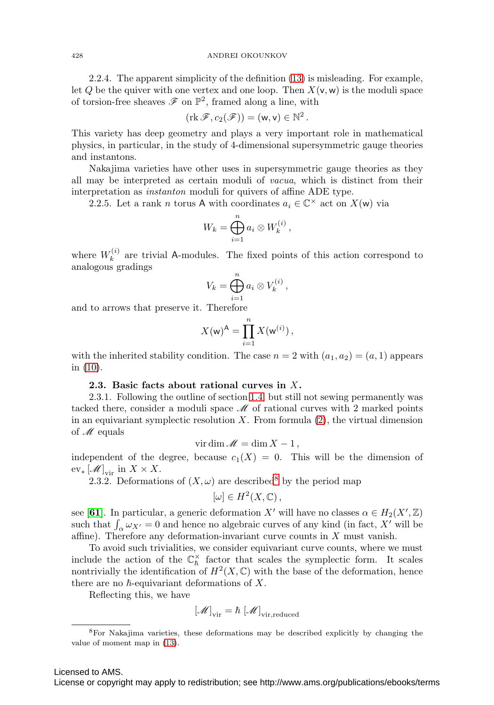2.2.4. The apparent simplicity of the definition [\(13\)](#page-8-0) is misleading. For example, let Q be the quiver with one vertex and one loop. Then  $X(\mathsf{v},\mathsf{w})$  is the moduli space of torsion-free sheaves  $\mathscr F$  on  $\mathbb P^2$ , framed along a line, with

$$
(\mathrm{rk}\,\mathscr{F},c_2(\mathscr{F}))=(\mathsf{w},\mathsf{v})\in\mathbb{N}^2\,.
$$

This variety has deep geometry and plays a very important role in mathematical physics, in particular, in the study of 4-dimensional supersymmetric gauge theories and instantons.

Nakajima varieties have other uses in supersymmetric gauge theories as they all may be interpreted as certain moduli of vacua, which is distinct from their interpretation as instanton moduli for quivers of affine ADE type.

<span id="page-9-2"></span>2.2.5. Let a rank n torus A with coordinates  $a_i \in \mathbb{C}^\times$  act on  $X(\mathsf{w})$  via

$$
W_k = \bigoplus_{i=1}^n a_i \otimes W_k^{(i)},
$$

where  $W_k^{(i)}$  are trivial A-modules. The fixed points of this action correspond to analogous gradings

$$
V_k = \bigoplus_{i=1}^n a_i \otimes V_k^{(i)},
$$

and to arrows that preserve it. Therefore

$$
X(\mathsf{w})^{\mathsf{A}} = \prod_{i=1}^{n} X(\mathsf{w}^{(i)}),
$$

with the inherited stability condition. The case  $n = 2$  with  $(a_1, a_2) = (a, 1)$  appears in [\(10\)](#page-6-1).

## **2.3. Basic facts about rational curves in** X**.**

2.3.1. Following the outline of section [1.4,](#page-1-1) but still not sewing permanently was tacked there, consider a moduli space  $\mathcal M$  of rational curves with 2 marked points in an equivariant symplectic resolution  $X$ . From formula  $(2)$ , the virtual dimension of  $\mathscr M$  equals

vir dim  $M = \dim X - 1$ ,

<span id="page-9-1"></span>independent of the degree, because  $c_1(X) = 0$ . This will be the dimension of  $\operatorname{ev}_*[\mathscr{M}]_{\text{vir}}$  in  $X \times X$ .

2.3.2. Deformations of  $(X, \omega)$  are described<sup>[8](#page-9-0)</sup> by the period map

$$
[\omega] \in H^2(X, \mathbb{C}),
$$

see [[61](#page-36-1)]. In particular, a generic deformation X' will have no classes  $\alpha \in H_2(X',\mathbb{Z})$ such that  $\int_{\alpha} \omega_{X'} = 0$  and hence no algebraic curves of any kind (in fact, X' will be affine). Therefore any deformation-invariant curve counts in  $X$  must vanish.

To avoid such trivialities, we consider equivariant curve counts, where we must include the action of the  $\mathbb{C}_{\hbar}^{\times}$  factor that scales the symplectic form. It scales nontrivially the identification of  $H^2(X,\mathbb{C})$  with the base of the deformation, hence there are no  $\hbar$ -equivariant deformations of X.

Reflecting this, we have

$$
\left[\mathscr{M}\right]_{\mathrm{vir}} = \hbar \left[\mathscr{M}\right]_{\mathrm{vir, reduced}}
$$

<span id="page-9-0"></span><sup>8</sup>For Nakajima varieties, these deformations may be described explicitly by changing the value of moment map in [\(13\)](#page-8-0).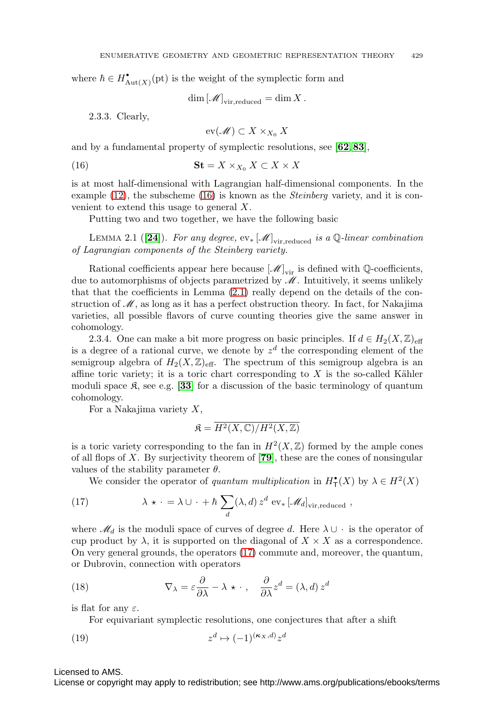where  $\hbar \in H_{\text{Aut}(X)}^{\bullet}(\text{pt})$  is the weight of the symplectic form and

$$
\dim [\mathscr{M}]_{\rm vir, reduced} = \dim X.
$$

2.3.3. Clearly,

$$
\mathrm{ev}(\mathscr{M}) \subset X \times_{X_0} X
$$

and by a fundamental property of symplectic resolutions, see [**[62](#page-36-7)**,**[83](#page-37-11)**],

<span id="page-10-0"></span>
$$
(16) \t\t\t\tSt = X \times_{X_0} X \subset X \times X
$$

is at most half-dimensional with Lagrangian half-dimensional components. In the example  $(12)$ , the subscheme  $(16)$  is known as the *Steinberg* variety, and it is convenient to extend this usage to general X.

Putting two and two together, we have the following basic

<span id="page-10-1"></span>LEMMA 2.1 ([[24](#page-34-6)]). For any degree,  $ev_*[\mathcal{M}]_{vir, reduced}$  is a Q-linear combination of Lagrangian components of the Steinberg variety.

Rational coefficients appear here because  $[\mathcal{M}]_{\text{vir}}$  is defined with Q-coefficients, due to automorphisms of objects parametrized by  $\mathcal M$ . Intuitively, it seems unlikely that that the coefficients in Lemma [\(2.1\)](#page-10-1) really depend on the details of the construction of  $\mathcal{M}$ , as long as it has a perfect obstruction theory. In fact, for Nakajima varieties, all possible flavors of curve counting theories give the same answer in cohomology.

2.3.4. One can make a bit more progress on basic principles. If  $d \in H_2(X,\mathbb{Z})_{\text{eff}}$ is a degree of a rational curve, we denote by  $z<sup>d</sup>$  the corresponding element of the semigroup algebra of  $H_2(X,\mathbb{Z})_{\text{eff}}$ . The spectrum of this semigroup algebra is an affine toric variety; it is a toric chart corresponding to  $X$  is the so-called Kähler moduli space  $\mathfrak{K}$ , see e.g. [[33](#page-35-5)] for a discussion of the basic terminology of quantum cohomology.

For a Nakajima variety  $X$ ,

$$
\mathfrak{K}=\overline{H^2(X,\mathbb{C})/H^2(X,\mathbb{Z})}
$$

is a toric variety corresponding to the fan in  $H^2(X,\mathbb{Z})$  formed by the ample cones of all flops of X. By surjectivity theorem of [**[79](#page-36-8)**], these are the cones of nonsingular values of the stability parameter  $\theta$ .

We consider the operator of quantum multiplication in  $H^{\bullet}_{\mathsf{T}}(X)$  by  $\lambda \in H^2(X)$ 

<span id="page-10-2"></span>(17) 
$$
\lambda \star \cdot = \lambda \cup \cdot + \hbar \sum_{d} (\lambda, d) z^{d} \operatorname{ev}_{*} [\mathscr{M}_{d}]_{\text{vir,reduced}},
$$

where  $\mathcal{M}_d$  is the moduli space of curves of degree d. Here  $\lambda \cup \cdot$  is the operator of cup product by  $\lambda$ , it is supported on the diagonal of  $X \times X$  as a correspondence. On very general grounds, the operators [\(17\)](#page-10-2) commute and, moreover, the quantum, or Dubrovin, connection with operators

<span id="page-10-3"></span>(18) 
$$
\nabla_{\lambda} = \varepsilon \frac{\partial}{\partial \lambda} - \lambda \star \cdot , \quad \frac{\partial}{\partial \lambda} z^{d} = (\lambda, d) z^{d}
$$

is flat for any  $\varepsilon$ .

For equivariant symplectic resolutions, one conjectures that after a shift

(19) 
$$
z^d \mapsto (-1)^{(\kappa_X, d)} z^d
$$

Licensed to AMS.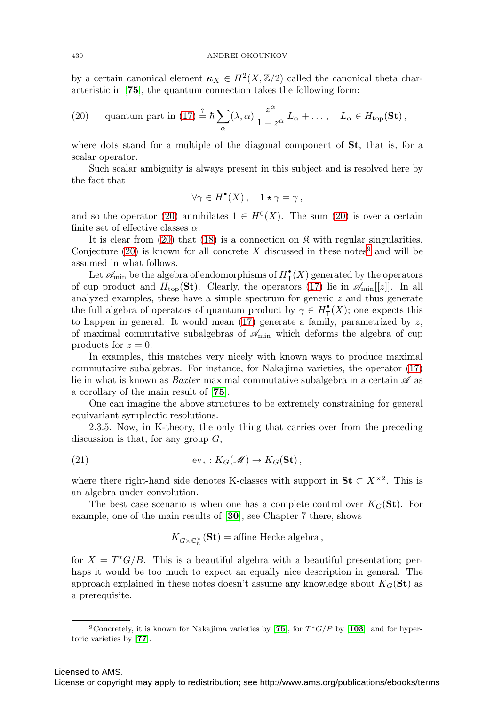by a certain canonical element  $\kappa_X \in H^2(X,\mathbb{Z}/2)$  called the canonical theta characteristic in [**[75](#page-36-9)**], the quantum connection takes the following form:

<span id="page-11-0"></span>(20) quantum part in (17) 
$$
\stackrel{?}{=} \hbar \sum_{\alpha} (\lambda, \alpha) \frac{z^{\alpha}}{1 - z^{\alpha}} L_{\alpha} + \dots, \quad L_{\alpha} \in H_{\text{top}}(\mathbf{St}),
$$

where dots stand for a multiple of the diagonal component of **St**, that is, for a scalar operator.

Such scalar ambiguity is always present in this subject and is resolved here by the fact that

$$
\forall \gamma \in H^{\bullet}(X) \, , \quad 1 \star \gamma = \gamma \, ,
$$

and so the operator [\(20\)](#page-11-0) annihilates  $1 \in H^0(X)$ . The sum (20) is over a certain finite set of effective classes  $\alpha$ .

It is clear from  $(20)$  that  $(18)$  is a connection on  $\mathfrak K$  with regular singularities. Conjecture [\(20\)](#page-11-0) is known for all concrete  $X$  discussed in these notes<sup>[9](#page-11-1)</sup> and will be assumed in what follows.

Let  $\mathscr{A}_{\mathrm{min}}$  be the algebra of endomorphisms of  $H^\bullet_\mathsf{T}(X)$  generated by the operators of cup product and  $H_{\text{top}}(\mathbf{St})$ . Clearly, the operators [\(17\)](#page-10-2) lie in  $\mathscr{A}_{\text{min}}[[z]]$ . In all analyzed examples, these have a simple spectrum for generic  $z$  and thus generate the full algebra of operators of quantum product by  $\gamma \in H^{\bullet}_{\mathsf{T}}(X)$ ; one expects this to happen in general. It would mean  $(17)$  generate a family, parametrized by z, of maximal commutative subalgebras of  $\mathscr{A}_{\text{min}}$  which deforms the algebra of cup products for  $z=0$ .

In examples, this matches very nicely with known ways to produce maximal commutative subalgebras. For instance, for Nakajima varieties, the operator [\(17\)](#page-10-2) lie in what is known as *Baxter* maximal commutative subalgebra in a certain  $\mathscr A$  as a corollary of the main result of [**[75](#page-36-9)**].

One can imagine the above structures to be extremely constraining for general equivariant symplectic resolutions.

2.3.5. Now, in K-theory, the only thing that carries over from the preceding discussion is that, for any group  $G$ ,

<span id="page-11-2"></span>(21) 
$$
\mathrm{ev}_*: K_G(\mathscr{M}) \to K_G(\mathbf{St}),
$$

where there right-hand side denotes K-classes with support in **St**  $\subset X^{\times 2}$ . This is an algebra under convolution.

The best case scenario is when one has a complete control over  $K_G(\mathbf{St})$ . For example, one of the main results of [**[30](#page-34-7)**], see Chapter 7 there, shows

$$
K_{G\times\mathbb{C}_h^\times}(\mathbf{St}) = \text{affine Hecke algebra}\,,
$$

for  $X = T^*G/B$ . This is a beautiful algebra with a beautiful presentation; perhaps it would be too much to expect an equally nice description in general. The approach explained in these notes doesn't assume any knowledge about  $K_G(\mathbf{St})$  as a prerequisite.

<span id="page-11-1"></span><sup>&</sup>lt;sup>9</sup>Concretely, it is known for Nakajima varieties by [**[75](#page-36-9)**], for  $T$ <sup>\*</sup> $G/P$  by [[103](#page-37-5)], and for hypertoric varieties by [**[77](#page-36-10)**].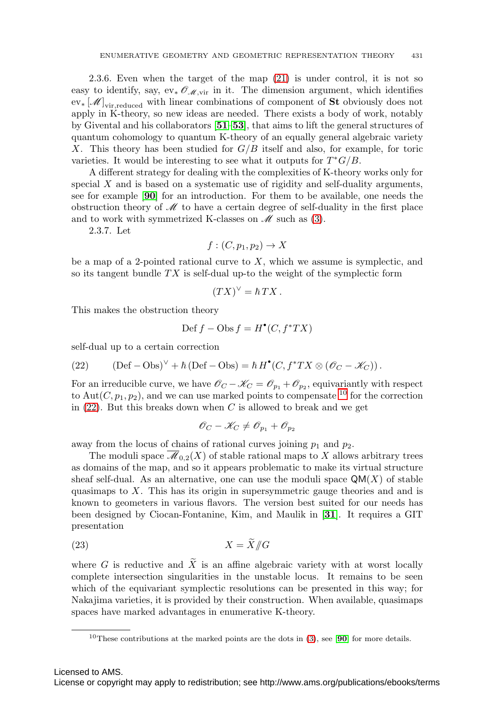2.3.6. Even when the target of the map [\(21\)](#page-11-2) is under control, it is not so easy to identify, say,  $ev_* \mathscr{O}_{\mathscr{M},\text{vir}}$  in it. The dimension argument, which identifies ev<sup>∗</sup> [M] vir,reduced with linear combinations of component of **St** obviously does not apply in K-theory, so new ideas are needed. There exists a body of work, notably by Givental and his collaborators [**[51](#page-35-6)**–**[53](#page-35-7)**], that aims to lift the general structures of quantum cohomology to quantum K-theory of an equally general algebraic variety X. This theory has been studied for  $G/B$  itself and also, for example, for toric varieties. It would be interesting to see what it outputs for  $T^*G/B$ .

A different strategy for dealing with the complexities of K-theory works only for special X and is based on a systematic use of rigidity and self-duality arguments, see for example [**[90](#page-37-0)**] for an introduction. For them to be available, one needs the obstruction theory of  $\mathcal M$  to have a certain degree of self-duality in the first place and to work with symmetrized K-classes on  $\mathcal M$  such as [\(3\)](#page-1-0).

2.3.7. Let

$$
f:(C,p_1,p_2)\to X
$$

be a map of a 2-pointed rational curve to  $X$ , which we assume is symplectic, and so its tangent bundle  $TX$  is self-dual up-to the weight of the symplectic form

$$
(TX)^{\vee} = \hbar T X.
$$

This makes the obstruction theory

$$
\text{Def } f - \text{Obs } f = H^{\bullet}(C, f^*TX)
$$

self-dual up to a certain correction

<span id="page-12-1"></span>(22) 
$$
(\text{Def} - \text{Obs})^{\vee} + \hbar (\text{Def} - \text{Obs}) = \hbar H^{\bullet}(C, f^*TX \otimes (\mathscr{O}_C - \mathscr{K}_C)).
$$

For an irreducible curve, we have  $\mathscr{O}_C - \mathscr{K}_C = \mathscr{O}_{p_1} + \mathscr{O}_{p_2}$ , equivariantly with respect to Aut $(C, p_1, p_2)$ , and we can use marked points to compensate <sup>[10](#page-12-0)</sup> for the correction in  $(22)$ . But this breaks down when C is allowed to break and we get

$$
\mathscr{O}_C-\mathscr{K}_C\neq \mathscr{O}_{p_1}+\mathscr{O}_{p_2}
$$

away from the locus of chains of rational curves joining  $p_1$  and  $p_2$ .

The moduli space  $\overline{\mathcal{M}}_{0,2}(X)$  of stable rational maps to X allows arbitrary trees as domains of the map, and so it appears problematic to make its virtual structure sheaf self-dual. As an alternative, one can use the moduli space  $\mathsf{QM}(X)$  of stable quasimaps to X. This has its origin in supersymmetric gauge theories and and is known to geometers in various flavors. The version best suited for our needs has been designed by Ciocan-Fontanine, Kim, and Maulik in [**[31](#page-35-8)**]. It requires a GIT presentation

<span id="page-12-2"></span>
$$
(23)\t\t\t X = \widetilde{X}/\!\!/G
$$

where G is reductive and  $\widetilde{X}$  is an affine algebraic variety with at worst locally complete intersection singularities in the unstable locus. It remains to be seen which of the equivariant symplectic resolutions can be presented in this way; for Nakajima varieties, it is provided by their construction. When available, quasimaps spaces have marked advantages in enumerative K-theory.

Licensed to AMS.

<span id="page-12-0"></span><sup>10</sup>These contributions at the marked points are the dots in [\(3\)](#page-1-0), see [**[90](#page-37-0)**] for more details.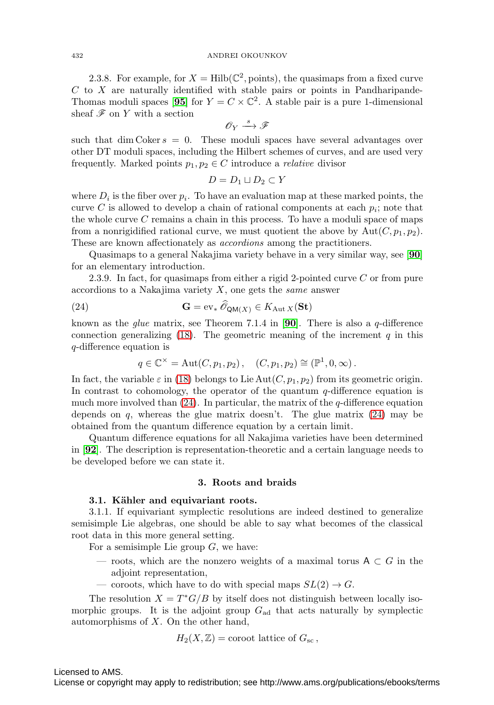2.3.8. For example, for  $X = \text{Hilb}(\mathbb{C}^2, \text{points})$ , the quasimaps from a fixed curve  $C$  to  $X$  are naturally identified with stable pairs or points in Pandharipande-Thomas moduli spaces [[95](#page-37-12)] for  $Y = C \times \mathbb{C}^2$ . A stable pair is a pure 1-dimensional sheaf  $\mathscr F$  on Y with a section

$$
\mathscr{O}_Y \stackrel{s}{\longrightarrow} \mathscr{F}
$$

such that dim Coker  $s = 0$ . These moduli spaces have several advantages over other DT moduli spaces, including the Hilbert schemes of curves, and are used very frequently. Marked points  $p_1, p_2 \in C$  introduce a *relative* divisor

$$
D = D_1 \sqcup D_2 \subset Y
$$

where  $D_i$  is the fiber over  $p_i$ . To have an evaluation map at these marked points, the curve C is allowed to develop a chain of rational components at each  $p_i$ ; note that the whole curve  $C$  remains a chain in this process. To have a moduli space of maps from a nonrigidified rational curve, we must quotient the above by  $Aut(C, p_1, p_2)$ . These are known affectionately as *accordions* among the practitioners.

Quasimaps to a general Nakajima variety behave in a very similar way, see [**[90](#page-37-0)**] for an elementary introduction.

2.3.9. In fact, for quasimaps from either a rigid 2-pointed curve  $C$  or from pure accordions to a Nakajima variety  $X$ , one gets the *same* answer

<span id="page-13-0"></span>(24) 
$$
\mathbf{G} = \mathrm{ev}_* \mathscr{O}_{\mathsf{QM}(X)} \in K_{\mathrm{Aut}\,X}(\mathbf{St})
$$

known as the glue matrix, see Theorem 7.1.4 in [**[90](#page-37-0)**]. There is also a q-difference connection generalizing  $(18)$ . The geometric meaning of the increment q in this q-difference equation is

$$
q \in \mathbb{C}^{\times} = \text{Aut}(C, p_1, p_2), \quad (C, p_1, p_2) \cong (\mathbb{P}^1, 0, \infty).
$$

In fact, the variable  $\varepsilon$  in [\(18\)](#page-10-3) belongs to Lie Aut(C,  $p_1, p_2$ ) from its geometric origin. In contrast to cohomology, the operator of the quantum  $q$ -difference equation is much more involved than  $(24)$ . In particular, the matrix of the q-difference equation depends on  $q$ , whereas the glue matrix doesn't. The glue matrix  $(24)$  may be obtained from the quantum difference equation by a certain limit.

Quantum difference equations for all Nakajima varieties have been determined in [**[92](#page-37-13)**]. The description is representation-theoretic and a certain language needs to be developed before we can state it.

# **3. Roots and braids**

## **3.1. K¨ahler and equivariant roots.**

3.1.1. If equivariant symplectic resolutions are indeed destined to generalize semisimple Lie algebras, one should be able to say what becomes of the classical root data in this more general setting.

For a semisimple Lie group  $G$ , we have:

- roots, which are the nonzero weights of a maximal torus  $A \subset G$  in the adjoint representation,
- coroots, which have to do with special maps  $SL(2) \rightarrow G$ .

The resolution  $X = T^*G/B$  by itself does not distinguish between locally isomorphic groups. It is the adjoint group  $G_{\text{ad}}$  that acts naturally by symplectic automorphisms of  $X$ . On the other hand,

$$
H_2(X,\mathbb{Z}) = \text{coroot lattice of } G_{\text{sc}},
$$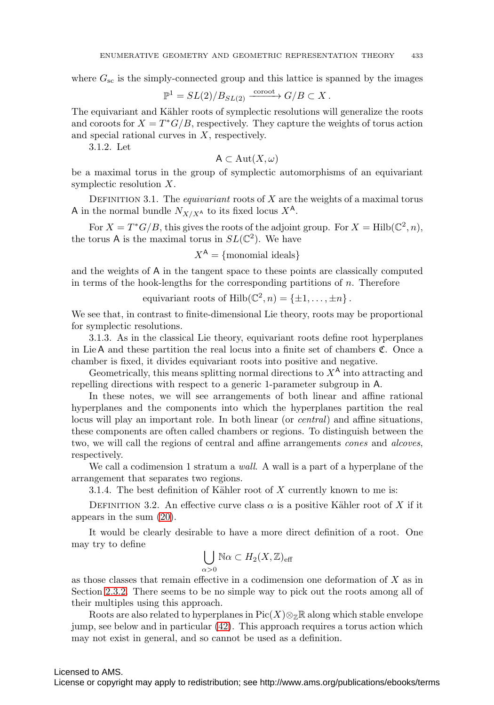where  $G_{\rm sc}$  is the simply-connected group and this lattice is spanned by the images

$$
\mathbb{P}^1 = SL(2)/B_{SL(2)} \xrightarrow{\text{coroot}} G/B \subset X.
$$

The equivariant and Kähler roots of symplectic resolutions will generalize the roots and coroots for  $X = T^*G/B$ , respectively. They capture the weights of torus action and special rational curves in  $X$ , respectively.

3.1.2. Let

$$
A\subset \mathrm{Aut}(X,\omega)
$$

be a maximal torus in the group of symplectic automorphisms of an equivariant symplectic resolution X.

DEFINITION 3.1. The *equivariant* roots of X are the weights of a maximal torus A in the normal bundle  $N_{X/X}$ <sup>A</sup> to its fixed locus  $X^A$ .

For  $X = T^*G/B$ , this gives the roots of the adjoint group. For  $X = Hilb(\mathbb{C}^2, n)$ , the torus A is the maximal torus in  $SL(\mathbb{C}^2)$ . We have

 $X^{\mathsf{A}} = \{\text{monomial ideals}\}\$ 

and the weights of A in the tangent space to these points are classically computed in terms of the hook-lengths for the corresponding partitions of  $n$ . Therefore

equivariant roots of Hilb $(\mathbb{C}^2, n) = {\pm 1, \ldots, \pm n}$ .

We see that, in contrast to finite-dimensional Lie theory, roots may be proportional for symplectic resolutions.

<span id="page-14-0"></span>3.1.3. As in the classical Lie theory, equivariant roots define root hyperplanes in LieA and these partition the real locus into a finite set of chambers C. Once a chamber is fixed, it divides equivariant roots into positive and negative.

Geometrically, this means splitting normal directions to  $X^{\mathsf{A}}$  into attracting and repelling directions with respect to a generic 1-parameter subgroup in A.

In these notes, we will see arrangements of both linear and affine rational hyperplanes and the components into which the hyperplanes partition the real locus will play an important role. In both linear (or central) and affine situations, these components are often called chambers or regions. To distinguish between the two, we will call the regions of central and affine arrangements cones and alcoves, respectively.

We call a codimension 1 stratum a *wall*. A wall is a part of a hyperplane of the arrangement that separates two regions.

3.1.4. The best definition of Kähler root of  $X$  currently known to me is:

DEFINITION 3.2. An effective curve class  $\alpha$  is a positive Kähler root of X if it appears in the sum [\(20\)](#page-11-0).

It would be clearly desirable to have a more direct definition of a root. One may try to define

$$
\bigcup_{\alpha>0}\mathbb{N}\alpha\subset H_2(X,\mathbb{Z})_{\text{eff}}
$$

as those classes that remain effective in a codimension one deformation of X as in Section [2.3.2.](#page-9-1) There seems to be no simple way to pick out the roots among all of their multiples using this approach.

Roots are also related to hyperplanes in  $Pic(X)\otimes_{\mathbb{Z}}\mathbb{R}$  along which stable envelope jump, see below and in particular [\(42\)](#page-23-0). This approach requires a torus action which may not exist in general, and so cannot be used as a definition.

## Licensed to AMS.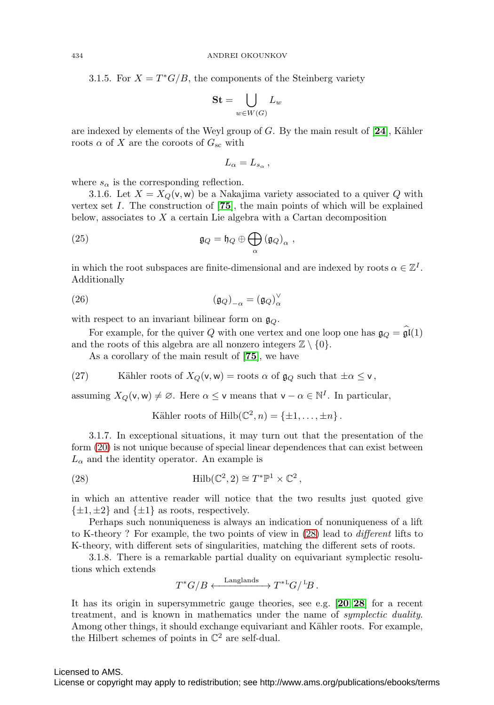3.1.5. For  $X = T^*G/B$ , the components of the Steinberg variety

$$
\mathbf{St} = \bigcup_{w \in W(G)} L_w
$$

are indexed by elements of the Weyl group of  $G$ . By the main result of  $[24]$  $[24]$  $[24]$ , Kähler roots  $\alpha$  of X are the coroots of  $G_{\rm sc}$  with

$$
L_{\alpha}=L_{s_{\alpha}},
$$

where  $s_{\alpha}$  is the corresponding reflection.

3.1.6. Let  $X = X<sub>O</sub>(v, w)$  be a Nakajima variety associated to a quiver Q with vertex set I. The construction of [**[75](#page-36-9)**], the main points of which will be explained below, associates to  $X$  a certain Lie algebra with a Cartan decomposition

<span id="page-15-1"></span>(25) 
$$
\mathfrak{g}_Q = \mathfrak{h}_Q \oplus \bigoplus_{\alpha} (\mathfrak{g}_Q)_{\alpha} ,
$$

in which the root subspaces are finite-dimensional and are indexed by roots  $\alpha \in \mathbb{Z}^{I}.$ Additionally

<span id="page-15-2"></span>(26) 
$$
(\mathfrak{g}_Q)_{-\alpha} = (\mathfrak{g}_Q)^\vee_\alpha
$$

with respect to an invariant bilinear form on  $\mathfrak{g}_Q$ .

For example, for the quiver Q with one vertex and one loop one has  $\mathfrak{g}_Q = \mathfrak{gl}(1)$ and the roots of this algebra are all nonzero integers  $\mathbb{Z} \setminus \{0\}.$ 

As a corollary of the main result of [**[75](#page-36-9)**], we have

(27) Kähler roots of 
$$
X_Q(\mathsf{v}, \mathsf{w}) = \text{roots } \alpha
$$
 of  $\mathfrak{g}_Q$  such that  $\pm \alpha \leq \mathsf{v}$ ,

assuming  $X_O(\mathsf{v},\mathsf{w}) \neq \emptyset$ . Here  $\alpha \leq \mathsf{v}$  means that  $\mathsf{v} - \alpha \in \mathbb{N}^I$ . In particular,

Kähler roots of 
$$
Hilb(\mathbb{C}^2, n) = \{\pm 1, \ldots, \pm n\}
$$
.

3.1.7. In exceptional situations, it may turn out that the presentation of the form [\(20\)](#page-11-0) is not unique because of special linear dependences that can exist between  $L_{\alpha}$  and the identity operator. An example is

<span id="page-15-0"></span>(28) 
$$
\text{Hilb}(\mathbb{C}^2, 2) \cong T^* \mathbb{P}^1 \times \mathbb{C}^2,
$$

in which an attentive reader will notice that the two results just quoted give  $\{\pm 1, \pm 2\}$  and  $\{\pm 1\}$  as roots, respectively.

Perhaps such nonuniqueness is always an indication of nonuniqueness of a lift to K-theory ? For example, the two points of view in [\(28\)](#page-15-0) lead to different lifts to K-theory, with different sets of singularities, matching the different sets of roots.

3.1.8. There is a remarkable partial duality on equivariant symplectic resolutions which extends

$$
T^*G/B \xleftarrow{\text{Langlands}} T^{*L}G/\,{}^L\!B\,.
$$

It has its origin in supersymmetric gauge theories, see e.g. [**[20](#page-34-3)**, **[28](#page-34-2)**] for a recent treatment, and is known in mathematics under the name of symplectic duality. Among other things, it should exchange equivariant and Kähler roots. For example, the Hilbert schemes of points in  $\mathbb{C}^2$  are self-dual.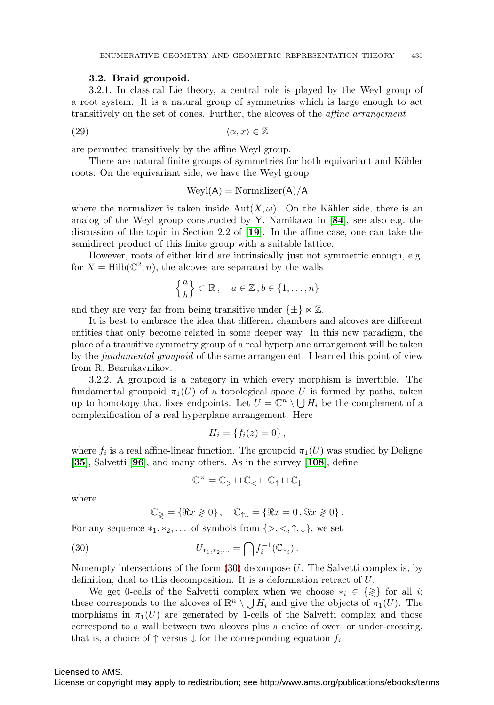#### **3.2. Braid groupoid.**

3.2.1. In classical Lie theory, a central role is played by the Weyl group of a root system. It is a natural group of symmetries which is large enough to act transitively on the set of cones. Further, the alcoves of the affine arrangement

<span id="page-16-1"></span>
$$
(29) \t\t\t \langle \alpha, x \rangle \in \mathbb{Z}
$$

are permuted transitively by the affine Weyl group.

There are natural finite groups of symmetries for both equivariant and Kähler roots. On the equivariant side, we have the Weyl group

$$
Weyl(A) = \text{Normalizer}(A)/A
$$

where the normalizer is taken inside  $Aut(X, \omega)$ . On the Kähler side, there is an analog of the Weyl group constructed by Y. Namikawa in [**[84](#page-37-14)**], see also e.g. the discussion of the topic in Section 2.2 of [**[19](#page-34-8)**]. In the affine case, one can take the semidirect product of this finite group with a suitable lattice.

However, roots of either kind are intrinsically just not symmetric enough, e.g. for  $X = \text{Hilb}(\mathbb{C}^2, n)$ , the alcoves are separated by the walls

$$
\left\{\frac{a}{b}\right\} \subset \mathbb{R}, \quad a \in \mathbb{Z}, b \in \{1, \ldots, n\}
$$

and they are very far from being transitive under  $\{\pm\} \ltimes \mathbb{Z}$ .

It is best to embrace the idea that different chambers and alcoves are different entities that only become related in some deeper way. In this new paradigm, the place of a transitive symmetry group of a real hyperplane arrangement will be taken by the fundamental groupoid of the same arrangement. I learned this point of view from R. Bezrukavnikov.

3.2.2. A groupoid is a category in which every morphism is invertible. The fundamental groupoid  $\pi_1(U)$  of a topological space U is formed by paths, taken up to homotopy that fixes endpoints. Let  $U = \mathbb{C}^n \setminus \bigcup H_i$  be the complement of a complexification of a real hyperplane arrangement. Here

$$
H_i = \{f_i(z) = 0\},\,
$$

where  $f_i$  is a real affine-linear function. The groupoid  $\pi_1(U)$  was studied by Deligne [**[35](#page-35-9)**], Salvetti [**[96](#page-37-15)**], and many others. As in the survey [**[108](#page-38-0)**], define

$$
\mathbb{C}^{\times}=\mathbb{C}_{>} \sqcup \mathbb{C}_{<} \sqcup \mathbb{C}_{\uparrow} \sqcup \mathbb{C}_{\downarrow}
$$

where

$$
\mathbb{C}_{\geqslant} = \{ \Re x \geqslant 0 \}, \quad \mathbb{C}_{\uparrow \downarrow} = \{ \Re x = 0, \Im x \geqslant 0 \}.
$$

For any sequence  $*_1, *_2, \ldots$  of symbols from  $\{>, <, \uparrow, \downarrow\}$ , we set

<span id="page-16-0"></span>(30) 
$$
U_{*1,*2,...} = \bigcap f_i^{-1}(\mathbb{C}_{*i}).
$$

Nonempty intersections of the form  $(30)$  decompose U. The Salvetti complex is, by definition, dual to this decomposition. It is a deformation retract of U.

We get 0-cells of the Salvetti complex when we choose  $*_i \in \{\geqslant\}$  for all i; these corresponds to the alcoves of  $\mathbb{R}^n \setminus \bigcup H_i$  and give the objects of  $\pi_1(U)$ . The morphisms in  $\pi_1(U)$  are generated by 1-cells of the Salvetti complex and those correspond to a wall between two alcoves plus a choice of over- or under-crossing, that is, a choice of  $\uparrow$  versus  $\downarrow$  for the corresponding equation  $f_i$ .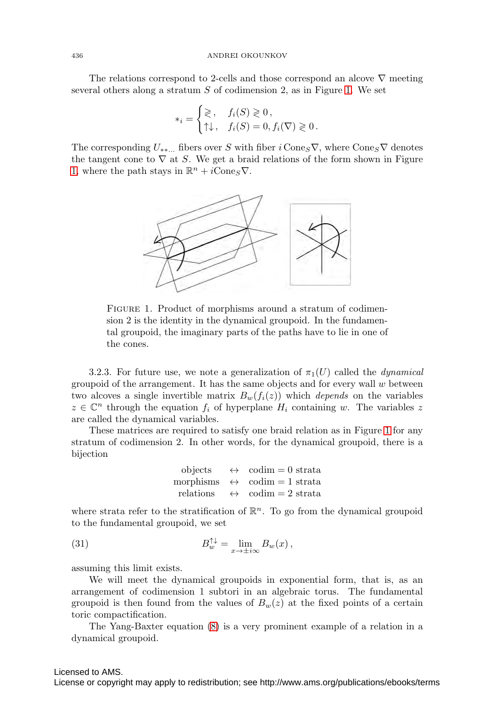The relations correspond to 2-cells and those correspond an alcove  $\nabla$  meeting several others along a stratum  $S$  of codimension 2, as in Figure [1.](#page-17-0) We set

$$
*_i = \begin{cases} \geqslant, & f_i(S) \geqslant 0 \,, \\ \uparrow \downarrow, & f_i(S) = 0, f_i(\nabla) \geqslant 0 \,. \end{cases}
$$

The corresponding  $U_{**}$ ... fibers over S with fiber  $i$  Cone<sub>S</sub> $\nabla$ , where Cone<sub>S</sub> $\nabla$  denotes the tangent cone to  $\nabla$  at S. We get a braid relations of the form shown in Figure [1,](#page-17-0) where the path stays in  $\mathbb{R}^n + i\text{Cone}_S \nabla$ .



<span id="page-17-0"></span>FIGURE 1. Product of morphisms around a stratum of codimension 2 is the identity in the dynamical groupoid. In the fundamental groupoid, the imaginary parts of the paths have to lie in one of the cones.

3.2.3. For future use, we note a generalization of  $\pi_1(U)$  called the *dynamical* groupoid of the arrangement. It has the same objects and for every wall  $w$  between two alcoves a single invertible matrix  $B_w(f_i(z))$  which depends on the variables  $z \in \mathbb{C}^n$  through the equation  $f_i$  of hyperplane  $H_i$  containing w. The variables z are called the dynamical variables.

These matrices are required to satisfy one braid relation as in Figure [1](#page-17-0) for any stratum of codimension 2. In other words, for the dynamical groupoid, there is a bijection

| objects   | $\leftrightarrow$ | $\text{codim} = 0$ strata                    |
|-----------|-------------------|----------------------------------------------|
|           |                   | morphisms $\leftrightarrow$ codim = 1 strata |
| relations | $\leftrightarrow$ | $codim = 2$ strata                           |

where strata refer to the stratification of  $\mathbb{R}^n$ . To go from the dynamical groupoid to the fundamental groupoid, we set

<span id="page-17-1"></span>(31) 
$$
B_w^{\uparrow\downarrow} = \lim_{x \to \pm i\infty} B_w(x),
$$

assuming this limit exists.

We will meet the dynamical groupoids in exponential form, that is, as an arrangement of codimension 1 subtori in an algebraic torus. The fundamental groupoid is then found from the values of  $B_w(z)$  at the fixed points of a certain toric compactification.

The Yang-Baxter equation [\(8\)](#page-5-1) is a very prominent example of a relation in a dynamical groupoid.

# Licensed to AMS.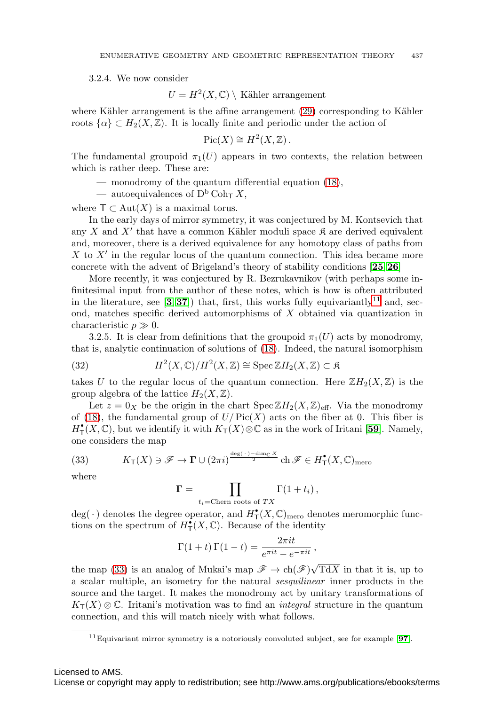<span id="page-18-3"></span>3.2.4. We now consider

$$
U = H^2(X, \mathbb{C}) \setminus
$$
Kähler arrangement

where Kähler arrangement is the affine arrangement  $(29)$  corresponding to Kähler roots  $\{\alpha\} \subset H_2(X,\mathbb{Z})$ . It is locally finite and periodic under the action of

$$
Pic(X) \cong H^2(X, \mathbb{Z}).
$$

The fundamental groupoid  $\pi_1(U)$  appears in two contexts, the relation between which is rather deep. These are:

— monodromy of the quantum differential equation [\(18\)](#page-10-3),

— autoequivalences of  $D^{\text{b}}\text{Coh}_{\text{T}} X$ ,

where  $\mathsf{T} \subset \mathrm{Aut}(X)$  is a maximal torus.

In the early days of mirror symmetry, it was conjectured by M. Kontsevich that any X and X' that have a common Kähler moduli space  $\mathfrak K$  are derived equivalent and, moreover, there is a derived equivalence for any homotopy class of paths from  $X$  to  $X'$  in the regular locus of the quantum connection. This idea became more concrete with the advent of Brigeland's theory of stability conditions [**[25](#page-34-9)**,**[26](#page-34-10)**]

More recently, it was conjectured by R. Bezrukavnikov (with perhaps some infinitesimal input from the author of these notes, which is how is often attributed in the literature, see  $\left[3, 37\right]$  $\left[3, 37\right]$  $\left[3, 37\right]$  $\left[3, 37\right]$  $\left[3, 37\right]$  that, first, this works fully equivariantly<sup>[11](#page-18-0)</sup> and, second, matches specific derived automorphisms of X obtained via quantization in characteristic  $p \gg 0$ .

<span id="page-18-4"></span>3.2.5. It is clear from definitions that the groupoid  $\pi_1(U)$  acts by monodromy, that is, analytic continuation of solutions of [\(18\)](#page-10-3). Indeed, the natural isomorphism

<span id="page-18-2"></span>(32) 
$$
H^2(X,\mathbb{C})/H^2(X,\mathbb{Z}) \cong \operatorname{Spec} \mathbb{Z}H_2(X,\mathbb{Z}) \subset \mathfrak{K}
$$

takes U to the regular locus of the quantum connection. Here  $\mathbb{Z}H_2(X,\mathbb{Z})$  is the group algebra of the lattice  $H_2(X,\mathbb{Z})$ .

Let  $z = 0_X$  be the origin in the chart  $Spec \mathbb{Z}H_2(X, \mathbb{Z})_{\text{eff}}$ . Via the monodromy of [\(18\)](#page-10-3), the fundamental group of  $U/Pic(X)$  acts on the fiber at 0. This fiber is  $H^{\bullet}_{\mathsf{T}}(X,\mathbb{C})$ , but we identify it with  $K_{\mathsf{T}}(X)\otimes\mathbb{C}$  as in the work of Iritani [[59](#page-36-11)]. Namely, one considers the map

<span id="page-18-1"></span>(33) 
$$
K_{\mathsf{T}}(X) \ni \mathscr{F} \to \mathbf{\Gamma} \cup (2\pi i)^{\frac{\deg(\cdot) - \dim_{\mathbb{C}} X}{2}} \operatorname{ch} \mathscr{F} \in H_{\mathsf{T}}^{\bullet}(X, \mathbb{C})_{\text{mero}}
$$

where

$$
\Gamma = \prod_{t_i = \text{Chern roots of } TX} \Gamma(1 + t_i),
$$

deg( $\cdot$ ) denotes the degree operator, and  $H^{\bullet}_{\mathsf{T}}(X,\mathbb{C})_{\mathrm{mero}}$  denotes meromorphic functions on the spectrum of  $H^{\bullet}_{\mathsf{T}}(X,\mathbb{C})$ . Because of the identity

$$
\Gamma(1+t)\,\Gamma(1-t) = \frac{2\pi i t}{e^{\pi i t}-e^{-\pi i t}}\,,
$$

the map [\(33\)](#page-18-1) is an analog of Mukai's map  $\mathscr{F} \to ch(\mathscr{F})$ √  $TdX$  in that it is, up to a scalar multiple, an isometry for the natural sesquilinear inner products in the source and the target. It makes the monodromy act by unitary transformations of  $K_{\mathsf{T}}(X) \otimes \mathbb{C}$ . Iritani's motivation was to find an *integral* structure in the quantum connection, and this will match nicely with what follows.

<span id="page-18-0"></span><sup>11</sup>Equivariant mirror symmetry is a notoriously convoluted subject, see for example [**[97](#page-37-16)**].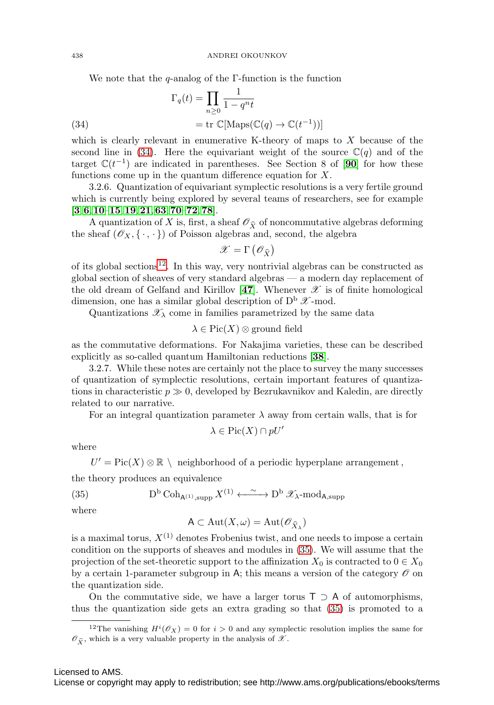We note that the  $q$ -analog of the Γ-function is the function

(34) 
$$
\Gamma_q(t) = \prod_{n \ge 0} \frac{1}{1 - q^n t}
$$

$$
= \text{tr } \mathbb{C}[\text{Maps}(\mathbb{C}(q) \to \mathbb{C}(t^{-1}))]
$$

<span id="page-19-0"></span>which is clearly relevant in enumerative K-theory of maps to X because of the second line in [\(34\)](#page-19-0). Here the equivariant weight of the source  $\mathbb{C}(q)$  and of the target  $\mathbb{C}(t^{-1})$  are indicated in parentheses. See Section 8 of [[90](#page-37-0)] for how these functions come up in the quantum difference equation for  $X$ .

3.2.6. Quantization of equivariant symplectic resolutions is a very fertile ground which is currently being explored by several teams of researchers, see for example [**[3](#page-33-2)**,**[6](#page-33-3)**,**[10](#page-34-11)**–**[15](#page-34-12)**,**[19](#page-34-8)**,**[21](#page-34-4)**,**[63](#page-36-12)**,**[70](#page-36-13)**–**[72](#page-36-14)**,**[78](#page-36-15)**].  $\mathbf{A}$ , 10–15, 19, 21, 63, 70–72, 78].<br>
A quantization of X is, first, a sheaf  $\mathscr{O}_{\widehat{X}}$  of noncommutative algebras deforming

the sheaf  $(\mathscr{O}_X, \{\cdot, \cdot\})$  of Poisson algebras and, second, the algebra  $\mathscr{X} = \Gamma(\mathscr{O}_{\widehat{X}})$ 

$$
\mathscr{X} = \Gamma\left(\mathscr{O}_{\widehat{X}}\right)
$$

of its global sections<sup>[12](#page-19-1)</sup>. In this way, very nontrivial algebras can be constructed as global section of sheaves of very standard algebras — a modern day replacement of the old dream of Gelfand and Kirillov [[47](#page-35-11)]. Whenever  $\mathscr X$  is of finite homological dimension, one has a similar global description of  $D^b$   $\mathscr{X}\text{-mod}$ .

Quantizations  $\mathscr{X}_{\lambda}$  come in families parametrized by the same data

$$
\lambda \in \text{Pic}(X) \otimes \text{ground field}
$$

as the commutative deformations. For Nakajima varieties, these can be described explicitly as so-called quantum Hamiltonian reductions [**[38](#page-35-12)**].

3.2.7. While these notes are certainly not the place to survey the many successes of quantization of symplectic resolutions, certain important features of quantizations in characteristic  $p \gg 0$ , developed by Bezrukavnikov and Kaledin, are directly related to our narrative.

For an integral quantization parameter  $\lambda$  away from certain walls, that is for

$$
\lambda \in \text{Pic}(X) \cap pU'
$$

where

 $U' = Pic(X) \otimes \mathbb{R}$  \ neighborhood of a periodic hyperplane arrangement,

the theory produces an equivalence

<span id="page-19-2"></span>(35) 
$$
D^{b} \operatorname{Coh}_{A^{(1)}, \operatorname{supp}} X^{(1)} \longleftrightarrow D^{b} \mathscr{X}_{\lambda} \operatorname{mod}_{A, \operatorname{supp}}
$$

where

$$
\mathsf{A} \subset \mathrm{Aut}(X,\omega) = \mathrm{Aut}(\mathscr{O}_{\widehat{X}_\lambda})
$$

is a maximal torus,  $X^{(1)}$  denotes Frobenius twist, and one needs to impose a certain condition on the supports of sheaves and modules in [\(35\)](#page-19-2). We will assume that the projection of the set-theoretic support to the affinization  $X_0$  is contracted to  $0 \in X_0$ by a certain 1-parameter subgroup in A; this means a version of the category  $\mathscr O$  on the quantization side.

On the commutative side, we have a larger torus  $\top \supset A$  of automorphisms, thus the quantization side gets an extra grading so that [\(35\)](#page-19-2) is promoted to a

<span id="page-19-1"></span><sup>&</sup>lt;sup>12</sup>The vanishing  $H^{i}(\mathscr{O}_{X}) = 0$  for  $i > 0$  and any symplectic resolution implies the same for <sup>12</sup>The vanishing  $H^i(\mathcal{O}_X) = 0$  for  $i > 0$  and any symple  $\mathcal{O}_{\widehat{X}}$ , which is a very valuable property in the analysis of  $\mathcal{X}$ .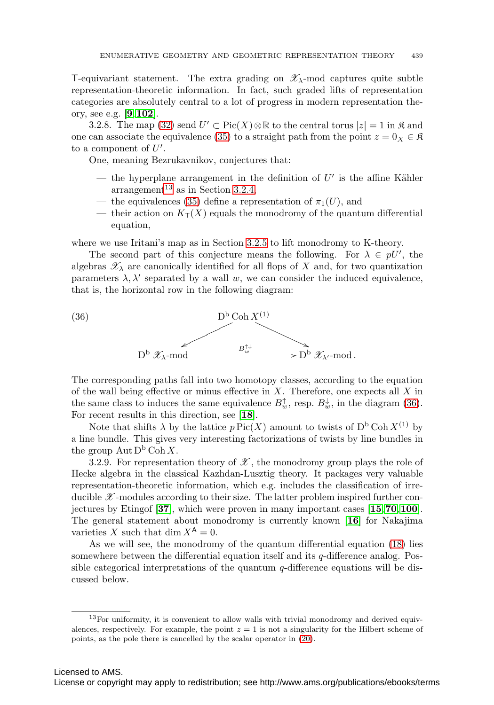T-equivariant statement. The extra grading on  $\mathscr{X}_{\lambda}$ -mod captures quite subtle representation-theoretic information. In fact, such graded lifts of representation categories are absolutely central to a lot of progress in modern representation theory, see e.g. [**[9](#page-34-13)**,**[102](#page-37-17)**].

<span id="page-20-2"></span>3.2.8. The map [\(32\)](#page-18-2) send  $U' \subset Pic(X) \otimes \mathbb{R}$  to the central torus  $|z|=1$  in  $\mathfrak{K}$  and one can associate the equivalence [\(35\)](#page-19-2) to a straight path from the point  $z = 0<sub>X</sub> \in \mathfrak{K}$ to a component of  $U'$ .

One, meaning Bezrukavnikov, conjectures that:

- the hyperplane arrangement in the definition of  $U'$  is the affine Kähler  $\rm{arrangement}^{13}$  $\rm{arrangement}^{13}$  $\rm{arrangement}^{13}$  as in Section [3.2.4,](#page-18-3)
- the equivalences [\(35\)](#page-19-2) define a representation of  $\pi_1(U)$ , and
- their action on  $K<sub>T</sub>(X)$  equals the monodromy of the quantum differential equation,

where we use Iritani's map as in Section [3.2.5](#page-18-4) to lift monodromy to K-theory.

The second part of this conjecture means the following. For  $\lambda \in pU'$ , the algebras  $\mathscr{X}_{\lambda}$  are canonically identified for all flops of X and, for two quantization parameters  $\lambda$ ,  $\lambda'$  separated by a wall w, we can consider the induced equivalence, that is, the horizontal row in the following diagram:

<span id="page-20-1"></span>

The corresponding paths fall into two homotopy classes, according to the equation of the wall being effective or minus effective in  $X$ . Therefore, one expects all  $X$  in the same class to induces the same equivalence  $B_w^{\uparrow}$ , resp.  $B_w^{\downarrow}$ , in the diagram [\(36\)](#page-20-1). For recent results in this direction, see [**[18](#page-34-14)**].

Note that shifts  $\lambda$  by the lattice  $p Pic(X)$  amount to twists of  $D<sup>b</sup> Coh(X<sup>(1)</sup>)$  by a line bundle. This gives very interesting factorizations of twists by line bundles in the group  $\mathrm{Aut} \mathrm{D}^{\mathrm{b}} \mathrm{Coh}\, X$ .

3.2.9. For representation theory of  $\mathscr{X}$ , the monodromy group plays the role of Hecke algebra in the classical Kazhdan-Lusztig theory. It packages very valuable representation-theoretic information, which e.g. includes the classification of irreducible  $\mathscr X$ -modules according to their size. The latter problem inspired further conjectures by Etingof [**[37](#page-35-10)**], which were proven in many important cases [**[15](#page-34-12)**,**[70](#page-36-13)**,**[100](#page-37-18)**]. The general statement about monodromy is currently known [**[16](#page-34-15)**] for Nakajima varieties X such that dim  $X^{\mathsf{A}} = 0$ .

As we will see, the monodromy of the quantum differential equation [\(18\)](#page-10-3) lies somewhere between the differential equation itself and its q-difference analog. Possible categorical interpretations of the quantum  $q$ -difference equations will be discussed below.

<span id="page-20-0"></span> $13$  For uniformity, it is convenient to allow walls with trivial monodromy and derived equivalences, respectively. For example, the point  $z = 1$  is not a singularity for the Hilbert scheme of points, as the pole there is cancelled by the scalar operator in [\(20\)](#page-11-0).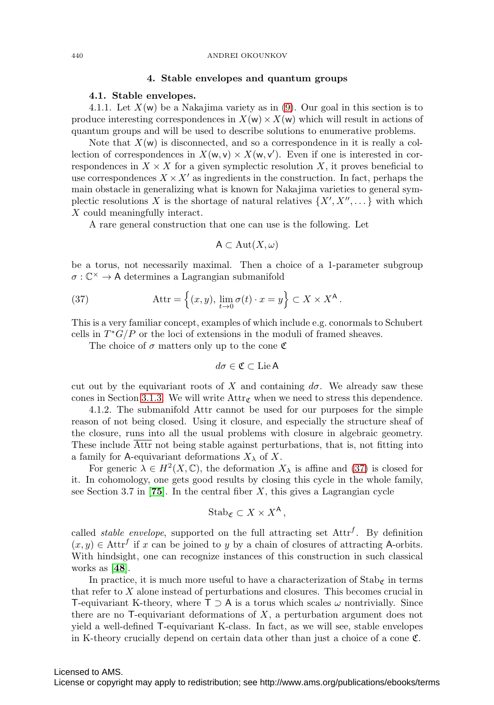#### <span id="page-21-2"></span>440 ANDREI OKOUNKOV

## **4. Stable envelopes and quantum groups**

#### **4.1. Stable envelopes.**

4.1.1. Let  $X(\mathsf{w})$  be a Nakajima variety as in [\(9\)](#page-6-0). Our goal in this section is to produce interesting correspondences in  $X(\mathbf{w}) \times X(\mathbf{w})$  which will result in actions of quantum groups and will be used to describe solutions to enumerative problems.

Note that  $X(\mathsf{w})$  is disconnected, and so a correspondence in it is really a collection of correspondences in  $X(\mathsf{w},\mathsf{v}) \times X(\mathsf{w},\mathsf{v}')$ . Even if one is interested in correspondences in  $X \times X$  for a given symplectic resolution X, it proves beneficial to use correspondences  $X \times X'$  as ingredients in the construction. In fact, perhaps the main obstacle in generalizing what is known for Nakajima varieties to general symplectic resolutions X is the shortage of natural relatives  $\{X', X'', \dots\}$  with which X could meaningfully interact.

A rare general construction that one can use is the following. Let

$$
A \subset \text{Aut}(X,\omega)
$$

be a torus, not necessarily maximal. Then a choice of a 1-parameter subgroup  $\sigma : \mathbb{C}^{\times} \to A$  determines a Lagrangian submanifold

<span id="page-21-0"></span>(37) 
$$
\text{Attr} = \left\{ (x, y), \lim_{t \to 0} \sigma(t) \cdot x = y \right\} \subset X \times X^{\mathsf{A}}.
$$

This is a very familiar concept, examples of which include e.g. conormals to Schubert cells in  $T^*G/P$  or the loci of extensions in the moduli of framed sheaves.

The choice of  $\sigma$  matters only up to the cone  $\mathfrak C$ 

$$
d\sigma\in\mathfrak{C}\subset\operatorname{Lie}\mathsf{A}
$$

cut out by the equivariant roots of X and containing  $d\sigma$ . We already saw these cones in Section [3.1.3.](#page-14-0) We will write  $\text{Attr}_{\mathfrak{C}}$  when we need to stress this dependence.

<span id="page-21-1"></span>4.1.2. The submanifold Attr cannot be used for our purposes for the simple reason of not being closed. Using it closure, and especially the structure sheaf of the closure, runs into all the usual problems with closure in algebraic geometry. These include Attr not being stable against perturbations, that is, not fitting into a family for A-equivariant deformations  $X_{\lambda}$  of X.

For generic  $\lambda \in H^2(X,\mathbb{C})$ , the deformation  $X_\lambda$  is affine and [\(37\)](#page-21-0) is closed for it. In cohomology, one gets good results by closing this cycle in the whole family, see Section 3.7 in [ $75$ ]. In the central fiber X, this gives a Lagrangian cycle

$$
Stab_{\mathfrak{C}} \subset X \times X^{\mathsf{A}}\,,
$$

called *stable envelope*, supported on the full attracting set  $\text{Attr}^f$ . By definition  $(x, y) \in \text{Attr}^f$  if x can be joined to y by a chain of closures of attracting A-orbits. With hindsight, one can recognize instances of this construction in such classical works as [**[48](#page-35-13)**].

In practice, it is much more useful to have a characterization of  $Stab_{\mathfrak{C}}$  in terms that refer to X alone instead of perturbations and closures. This becomes crucial in T-equivariant K-theory, where  $T \supset A$  is a torus which scales  $\omega$  nontrivially. Since there are no  $\mathsf{T}\text{-}\mathsf{equivariant}$  deformations of  $X$ , a perturbation argument does not yield a well-defined T-equivariant K-class. In fact, as we will see, stable envelopes in K-theory crucially depend on certain data other than just a choice of a cone C.

Licensed to AMS.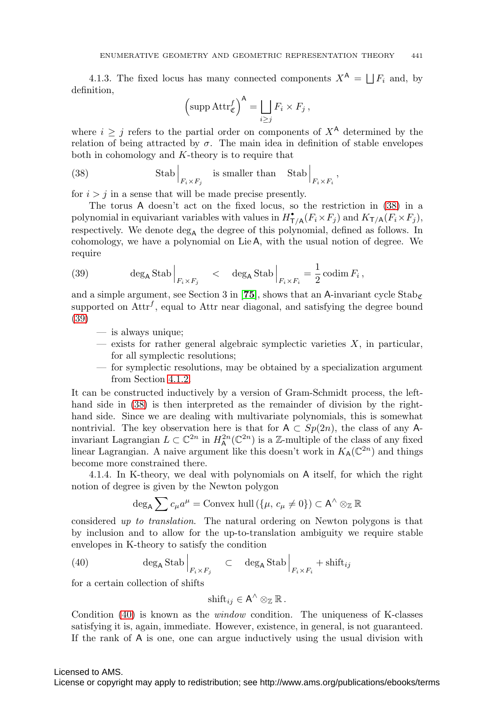4.1.3. The fixed locus has many connected components  $X^A = |F_i|$  and, by definition,

$$
\left(\text{supp }\text{Attr}_{\mathfrak{C}}^f\right)^{\mathsf{A}} = \bigsqcup_{i\geq j} F_i \times F_j ,
$$

where  $i \geq j$  refers to the partial order on components of  $X^{\mathsf{A}}$  determined by the relation of being attracted by  $\sigma$ . The main idea in definition of stable envelopes both in cohomology and K-theory is to require that

<span id="page-22-0"></span>(38) 
$$
\text{Stab}\Big|_{F_i \times F_j} \quad \text{is smaller than} \quad \text{Stab}\Big|_{F_i \times F_i},
$$

for  $i > j$  in a sense that will be made precise presently.

The torus A doesn't act on the fixed locus, so the restriction in [\(38\)](#page-22-0) in a polynomial in equivariant variables with values in  $H^{\bullet}_{\mathsf{T}/\mathsf{A}}(F_i \times F_j)$  and  $K_{\mathsf{T}/\mathsf{A}}(F_i \times F_j)$ , respectively. We denote  $\deg_A$  the degree of this polynomial, defined as follows. In cohomology, we have a polynomial on LieA, with the usual notion of degree. We require

<span id="page-22-1"></span>(39) 
$$
\deg_{\mathsf{A}} \text{Stab} \Big|_{F_i \times F_j} \quad < \quad \deg_{\mathsf{A}} \text{Stab} \Big|_{F_i \times F_i} = \frac{1}{2} \operatorname{codim} F_i \, ,
$$

and a simple argument, see Section 3 in [[75](#page-36-9)], shows that an A-invariant cycle  $Stab_{\mathfrak{C}}$ supported on  $\text{Attr}^f$ , equal to Attr near diagonal, and satisfying the degree bound [\(39\)](#page-22-1)

- is always unique;
- exists for rather general algebraic symplectic varieties  $X$ , in particular, for all symplectic resolutions;
- for symplectic resolutions, may be obtained by a specialization argument from Section [4.1.2.](#page-21-1)

It can be constructed inductively by a version of Gram-Schmidt process, the lefthand side in [\(38\)](#page-22-0) is then interpreted as the remainder of division by the righthand side. Since we are dealing with multivariate polynomials, this is somewhat nontrivial. The key observation here is that for  $A \subset Sp(2n)$ , the class of any Ainvariant Lagrangian  $L \subset \mathbb{C}^{2n}$  in  $H^{2n}_{\mathsf{A}}(\mathbb{C}^{2n})$  is a Z-multiple of the class of any fixed linear Lagrangian. A naive argument like this doesn't work in  $K_{\mathsf{A}}(\mathbb{C}^{2n})$  and things become more constrained there.

4.1.4. In K-theory, we deal with polynomials on A itself, for which the right notion of degree is given by the Newton polygon

$$
\mathrm{deg}_\mathsf{A}\sum c_\mu a^\mu=\mathrm{Convex}\hbox{ hull}\left(\{\mu,\,c_\mu\neq 0\}\right)\subset\mathsf{A}^\wedge\otimes_{\mathbb{Z}}\mathbb{R}
$$

considered up to translation. The natural ordering on Newton polygons is that by inclusion and to allow for the up-to-translation ambiguity we require stable envelopes in K-theory to satisfy the condition

<span id="page-22-2"></span>(40) 
$$
\deg_{\mathsf{A}} \text{Stab} \Big|_{F_i \times F_j} \quad \subset \quad \deg_{\mathsf{A}} \text{Stab} \Big|_{F_i \times F_i} + \text{shift}_{ij}
$$

for a certain collection of shifts

$$
\text{shift}_{ij} \in \mathsf{A}^{\wedge} \otimes_{\mathbb{Z}} \mathbb{R} \, .
$$

Condition [\(40\)](#page-22-2) is known as the window condition. The uniqueness of K-classes satisfying it is, again, immediate. However, existence, in general, is not guaranteed. If the rank of A is one, one can argue inductively using the usual division with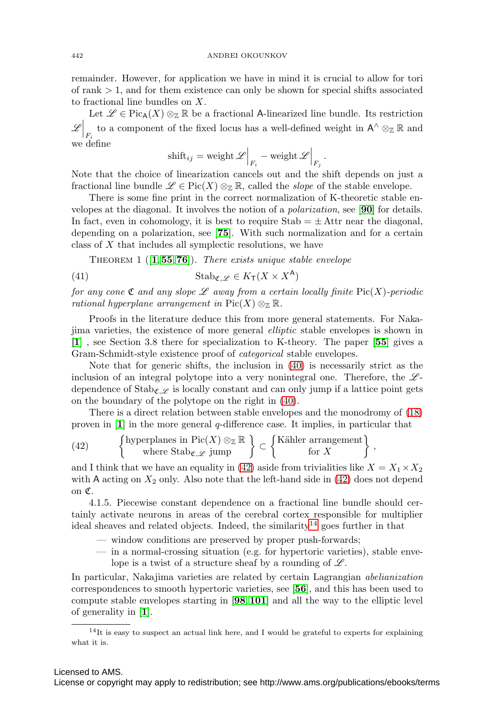remainder. However, for application we have in mind it is crucial to allow for tori of rank  $> 1$ , and for them existence can only be shown for special shifts associated to fractional line bundles on X.

Let  $\mathscr{L} \in \text{Pic}_{\mathsf{A}}(X) \otimes_{\mathbb{Z}} \mathbb{R}$  be a fractional A-linearized line bundle. Its restriction  $\mathscr{L}\Big|_{F_i}$  to a component of the fixed locus has a well-defined weight in A^  $\otimes_{\mathbb{Z}} \mathbb{R}$  and we define

$$
\text{shift}_{ij} = \text{weight} \mathscr{L} \Big|_{F_i} - \text{weight} \mathscr{L} \Big|_{F_j}.
$$

Note that the choice of linearization cancels out and the shift depends on just a fractional line bundle  $\mathscr{L} \in \text{Pic}(X) \otimes_{\mathbb{Z}} \mathbb{R}$ , called the *slope* of the stable envelope.

There is some fine print in the correct normalization of K-theoretic stable envelopes at the diagonal. It involves the notion of a polarization, see [**[90](#page-37-0)**] for details. In fact, even in cohomology, it is best to require  $Stab = \pm$  Attr near the diagonal, depending on a polarization, see [**[75](#page-36-9)**]. With such normalization and for a certain class of X that includes all symplectic resolutions, we have

THEOREM [1](#page-33-4)  $([1, 55, 76])$  $([1, 55, 76])$  $([1, 55, 76])$  $([1, 55, 76])$  $([1, 55, 76])$ . There exists unique stable envelope

(41) 
$$
\operatorname{Stab}_{\mathfrak{C},\mathscr{L}} \in K_{\mathsf{T}}(X \times X^{\mathsf{A}})
$$

for any cone  $\mathfrak C$  and any slope  $\mathscr L$  away from a certain locally finite  $Pic(X)$ -periodic rational hyperplane arrangement in  $Pic(X) \otimes_{\mathbb{Z}} \mathbb{R}$ .

Proofs in the literature deduce this from more general statements. For Nakajima varieties, the existence of more general elliptic stable envelopes is shown in [**[1](#page-33-4)**] , see Section 3.8 there for specialization to K-theory. The paper [**[55](#page-35-14)**] gives a Gram-Schmidt-style existence proof of categorical stable envelopes.

Note that for generic shifts, the inclusion in [\(40\)](#page-22-2) is necessarily strict as the inclusion of an integral polytope into a very nonintegral one. Therefore, the  $\mathscr{L}$ dependence of  $Stab_{\mathfrak{C},\mathscr{L}}$  is locally constant and can only jump if a lattice point gets on the boundary of the polytope on the right in [\(40\)](#page-22-2).

There is a direct relation between stable envelopes and the monodromy of [\(18\)](#page-10-3) proven in [**[1](#page-33-4)**] in the more general q-difference case. It implies, in particular that

,

<span id="page-23-0"></span>(42) {hyperplanes in Pic(X) 
$$
\otimes_{\mathbb{Z}} \mathbb{R}
$$
 }  $\left\{ \begin{array}{c} \text{Kähler arrangement} \\ \text{for } X \end{array} \right\}$ 

and I think that we have an equality in [\(42\)](#page-23-0) aside from trivialities like  $X = X_1 \times X_2$ with A acting on  $X_2$  only. Also note that the left-hand side in [\(42\)](#page-23-0) does not depend on C.

4.1.5. Piecewise constant dependence on a fractional line bundle should certainly activate neurons in areas of the cerebral cortex responsible for multiplier ideal sheaves and related objects. Indeed, the similarity<sup>[14](#page-23-1)</sup> goes further in that

- window conditions are preserved by proper push-forwards;
- in a normal-crossing situation (e.g. for hypertoric varieties), stable envelope is a twist of a structure sheaf by a rounding of  $\mathscr{L}$ .

In particular, Nakajima varieties are related by certain Lagrangian abelianization correspondences to smooth hypertoric varieties, see [**[56](#page-36-17)**], and this has been used to compute stable envelopes starting in [**[98](#page-37-19)**, **[101](#page-37-20)**] and all the way to the elliptic level of generality in [**[1](#page-33-4)**].

<span id="page-23-1"></span><sup>14</sup>It is easy to suspect an actual link here, and I would be grateful to experts for explaining what it is.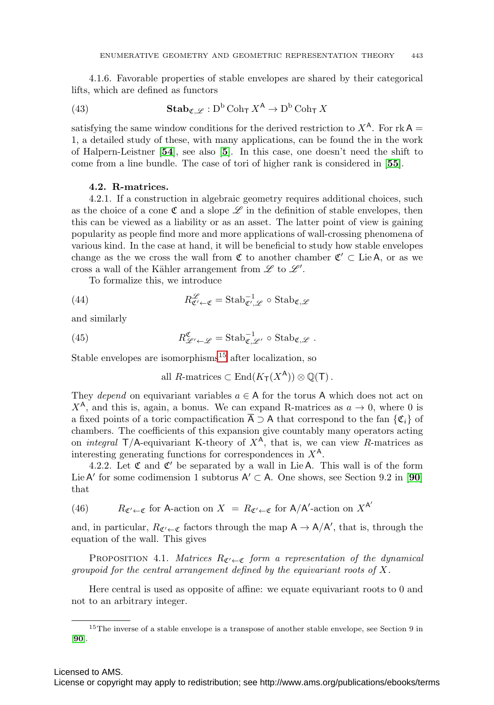4.1.6. Favorable properties of stable envelopes are shared by their categorical lifts, which are defined as functors

<span id="page-24-3"></span>(43) 
$$
\operatorname{Stab}_{\mathfrak{C},\mathscr{L}} : D^{\mathrm{b}} \operatorname{Coh}_{\mathsf{T}} X^{\mathsf{A}} \to D^{\mathrm{b}} \operatorname{Coh}_{\mathsf{T}} X
$$

satisfying the same window conditions for the derived restriction to  $X^A$ . For rkA = 1, a detailed study of these, with many applications, can be found the in the work of Halpern-Leistner [**[54](#page-35-15)**], see also [**[5](#page-33-5)**]. In this case, one doesn't need the shift to come from a line bundle. The case of tori of higher rank is considered in [**[55](#page-35-14)**].

#### **4.2. R-matrices.**

4.2.1. If a construction in algebraic geometry requires additional choices, such as the choice of a cone  $\mathfrak C$  and a slope  $\mathscr L$  in the definition of stable envelopes, then this can be viewed as a liability or as an asset. The latter point of view is gaining popularity as people find more and more applications of wall-crossing phenomena of various kind. In the case at hand, it will be beneficial to study how stable envelopes change as the we cross the wall from  $\mathfrak{C}$  to another chamber  $\mathfrak{C}' \subset \text{Lie } A$ , or as we cross a wall of the Kähler arrangement from  $\mathscr L$  to  $\mathscr L'.$ 

To formalize this, we introduce

<span id="page-24-1"></span>(44) 
$$
R^{\mathscr{L}}_{\mathfrak{C}'\leftarrow\mathfrak{C}} = \text{Stab}_{\mathfrak{C}',\mathscr{L}}^{-1} \circ \text{Stab}_{\mathfrak{C},\mathscr{L}}
$$

and similarly

<span id="page-24-2"></span>(45) 
$$
R^{\mathfrak{C}}_{\mathscr{L}' \leftarrow \mathscr{L}} = \mathrm{Stab}^{-1}_{\mathfrak{C}, \mathscr{L}'} \circ \mathrm{Stab}_{\mathfrak{C}, \mathscr{L}}.
$$

Stable envelopes are isomorphisms<sup>[15](#page-24-0)</sup> after localization, so

all R-matrices  $\subset$  End $(K_T(X^{\mathsf{A}})) \otimes \mathbb{O}(\mathsf{T})$ .

They depend on equivariant variables  $a \in A$  for the torus A which does not act on  $X^{\mathsf{A}}$ , and this is, again, a bonus. We can expand R-matrices as  $a \to 0$ , where 0 is a fixed points of a toric compactification  $\overline{A} \supset A$  that correspond to the fan  $\{\mathfrak{C}_i\}$  of chambers. The coefficients of this expansion give countably many operators acting on *integral*  $T/A$ -equivariant K-theory of  $X^A$ , that is, we can view R-matrices as interesting generating functions for correspondences in  $X^{\mathsf{A}}$ .

4.2.2. Let  $\mathfrak C$  and  $\mathfrak C'$  be separated by a wall in Lie A. This wall is of the form Lie A' for some codimension 1 subtorus  $A' \subset A$ . One shows, see Section 9.2 in [[90](#page-37-0)] that

(46) 
$$
R_{\mathfrak{C}' \leftarrow \mathfrak{C}}
$$
 for A-action on  $X = R_{\mathfrak{C}' \leftarrow \mathfrak{C}}$  for A/A'-action on  $X^{A'}$ 

and, in particular,  $R_{\mathfrak{C}' \leftarrow \mathfrak{C}}$  factors through the map  $A \to A/A'$ , that is, through the equation of the wall. This gives

PROPOSITION 4.1. Matrices  $R_{\mathfrak{C}'\leftarrow\mathfrak{C}}$  form a representation of the dynamical groupoid for the central arrangement defined by the equivariant roots of  $X$ .

Here central is used as opposite of affine: we equate equivariant roots to 0 and not to an arbitrary integer.

<span id="page-24-0"></span><sup>15</sup>The inverse of a stable envelope is a transpose of another stable envelope, see Section 9 in [**[90](#page-37-0)**].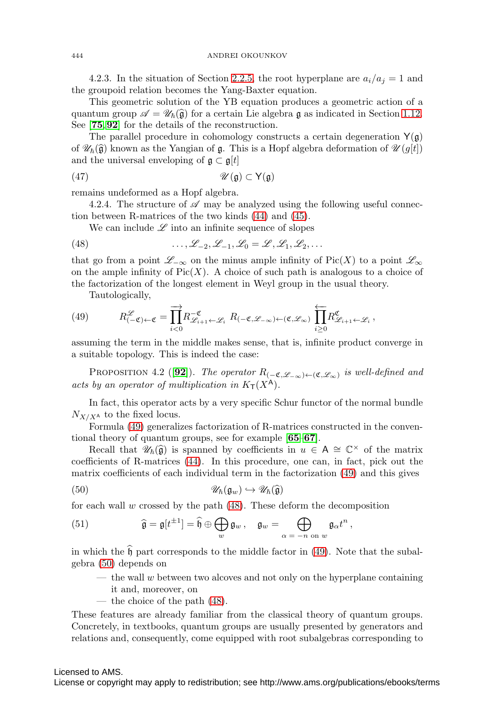4.2.3. In the situation of Section [2.2.5,](#page-9-2) the root hyperplane are  $a_i/a_j = 1$  and the groupoid relation becomes the Yang-Baxter equation.

This geometric solution of the YB equation produces a geometric action of a quantum group  $\mathscr{A} = \mathscr{U}_{\hbar}(\hat{\mathfrak{g}})$  for a certain Lie algebra  $\mathfrak{g}$  as indicated in Section [1.12.](#page-5-2) See [**[75](#page-36-9)**,**[92](#page-37-13)**] for the details of the reconstruction.

The parallel procedure in cohomology constructs a certain degeneration  $Y(\mathfrak{g})$ of  $\mathscr{U}_{\hbar}(\widehat{\mathfrak{g}})$  known as the Yangian of  $\mathfrak{g}$ . This is a Hopf algebra deformation of  $\mathscr{U}(g[t])$ and the universal enveloping of  $\mathfrak{g} \subset \mathfrak{g}[t]$ 

<span id="page-25-3"></span>
$$
\mathscr{U}(\mathfrak{g}) \subset \mathsf{Y}(\mathfrak{g})
$$

remains undeformed as a Hopf algebra.

4.2.4. The structure of  $\mathscr A$  may be analyzed using the following useful connection between R-matrices of the two kinds [\(44\)](#page-24-1) and [\(45\)](#page-24-2).

We can include  $\mathscr L$  into an infinite sequence of slopes

<span id="page-25-1"></span>(48) 
$$
\ldots, \mathcal{L}_{-2}, \mathcal{L}_{-1}, \mathcal{L}_0 = \mathcal{L}, \mathcal{L}_1, \mathcal{L}_2, \ldots
$$

that go from a point  $\mathscr{L}_{-\infty}$  on the minus ample infinity of Pic(X) to a point  $\mathscr{L}_{\infty}$ on the ample infinity of  $Pic(X)$ . A choice of such path is analogous to a choice of the factorization of the longest element in Weyl group in the usual theory.

Tautologically,

<span id="page-25-0"></span>(49) 
$$
R^{\mathcal{L}}_{(-\mathfrak{C})\leftarrow \mathfrak{C}} = \prod_{i<0}^{+\infty} R^{\mathfrak{C}}_{\mathcal{L}_{i+1}\leftarrow \mathcal{L}_i} R_{(-\mathfrak{C},\mathcal{L}_{-\infty})\leftarrow (\mathfrak{C},\mathcal{L}_{\infty})} \prod_{i\geq 0}^{+\infty} R^{\mathfrak{C}}_{\mathcal{L}_{i+1}\leftarrow \mathcal{L}_i},
$$

assuming the term in the middle makes sense, that is, infinite product converge in a suitable topology. This is indeed the case:

PROPOSITION 4.2 ([**[92](#page-37-13)**]). The operator  $R_{(-\mathfrak{C},\mathscr{L}_{-\infty}) \leftarrow (\mathfrak{C},\mathscr{L}_{\infty})}$  is well-defined and acts by an operator of multiplication in  $K_{\mathsf{T}}(X^{\mathsf{A}})$ .

In fact, this operator acts by a very specific Schur functor of the normal bundle  $N_{X/X}$  to the fixed locus.

Formula [\(49\)](#page-25-0) generalizes factorization of R-matrices constructed in the conventional theory of quantum groups, see for example [**[65](#page-36-18)**–**[67](#page-36-19)**].

Recall that  $\mathscr{U}_{\hbar}(\hat{\mathfrak{g}})$  is spanned by coefficients in  $u \in A \cong \mathbb{C}^{\times}$  of the matrix coefficients of R-matrices [\(44\)](#page-24-1). In this procedure, one can, in fact, pick out the matrix coefficients of each individual term in the factorization [\(49\)](#page-25-0) and this gives

<span id="page-25-2"></span>
$$
\mathscr{U}_{\hbar}(\mathfrak{g}_w) \hookrightarrow \mathscr{U}_{\hbar}(\mathfrak{g})
$$

for each wall  $w$  crossed by the path  $(48)$ . These deform the decomposition

<span id="page-25-4"></span>(51) 
$$
\widehat{\mathfrak{g}} = \mathfrak{g}[t^{\pm 1}] = \widehat{\mathfrak{h}} \oplus \bigoplus_{w} \mathfrak{g}_{w}, \quad \mathfrak{g}_{w} = \bigoplus_{\alpha = -n \text{ on } w} \mathfrak{g}_{\alpha} t^{n},
$$

in which the  $\mathfrak h$  part corresponds to the middle factor in [\(49\)](#page-25-0). Note that the subalgebra [\(50\)](#page-25-2) depends on

- the wall  $w$  between two alcoves and not only on the hyperplane containing
- it and, moreover, on
- the choice of the path [\(48\)](#page-25-1).

These features are already familiar from the classical theory of quantum groups. Concretely, in textbooks, quantum groups are usually presented by generators and relations and, consequently, come equipped with root subalgebras corresponding to

# Licensed to AMS.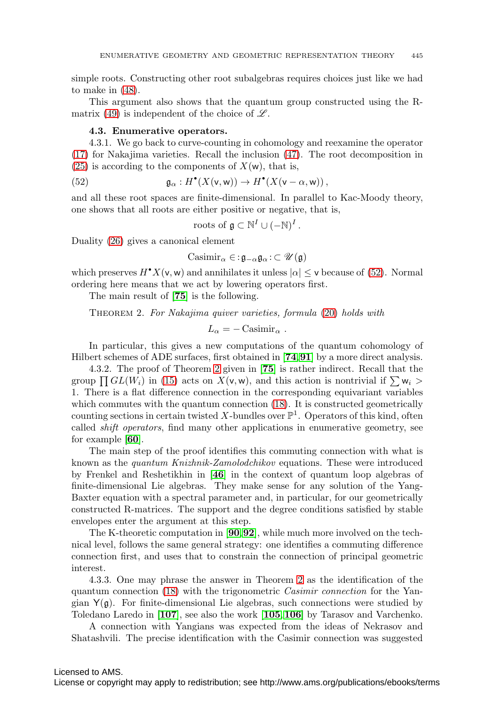simple roots. Constructing other root subalgebras requires choices just like we had to make in [\(48\)](#page-25-1).

This argument also shows that the quantum group constructed using the R-matrix [\(49\)](#page-25-0) is independent of the choice of  $\mathscr{L}$ .

#### **4.3. Enumerative operators.**

4.3.1. We go back to curve-counting in cohomology and reexamine the operator [\(17\)](#page-10-2) for Nakajima varieties. Recall the inclusion [\(47\)](#page-25-3). The root decomposition in  $(25)$  is according to the components of  $X(\mathsf{w})$ , that is,

<span id="page-26-0"></span>(52) 
$$
\mathfrak{g}_{\alpha}: H^{\bullet}(X(\mathsf{v},\mathsf{w})) \to H^{\bullet}(X(\mathsf{v}-\alpha,\mathsf{w})),
$$

and all these root spaces are finite-dimensional. In parallel to Kac-Moody theory, one shows that all roots are either positive or negative, that is,

roots of 
$$
\mathfrak{g} \subset \mathbb{N}^I \cup (-\mathbb{N})^I
$$
.

Duality [\(26\)](#page-15-2) gives a canonical element

$$
\operatorname{Casimir}_{\alpha} \in \mathfrak{g}_{-\alpha} \mathfrak{g}_{\alpha} \colon \subset \mathscr{U}(\mathfrak{g})
$$

which preserves  $H^{\bullet} X(\mathsf{v},\mathsf{w})$  and annihilates it unless  $|\alpha| \leq \mathsf{v}$  because of [\(52\)](#page-26-0). Normal ordering here means that we act by lowering operators first.

The main result of [**[75](#page-36-9)**] is the following.

<span id="page-26-1"></span>THEOREM 2. For Nakajima quiver varieties, formula [\(20\)](#page-11-0) holds with

$$
L_{\alpha} = - \operatorname{Casimir}_{\alpha}.
$$

In particular, this gives a new computations of the quantum cohomology of Hilbert schemes of ADE surfaces, first obtained in [**[74](#page-36-20)**,**[91](#page-37-21)**] by a more direct analysis.

4.3.2. The proof of Theorem [2](#page-26-1) given in [**[75](#page-36-9)**] is rather indirect. Recall that the group  $\prod GL(W_i)$  in [\(15\)](#page-8-3) acts on  $X(\mathsf{v},\mathsf{w})$ , and this action is nontrivial if  $\sum_{i} w_i >$ 1. There is a flat difference connection in the corresponding equivariant variables which commutes with the quantum connection  $(18)$ . It is constructed geometrically counting sections in certain twisted X-bundles over  $\mathbb{P}^1$ . Operators of this kind, often called shift operators, find many other applications in enumerative geometry, see for example [**[60](#page-36-21)**].

The main step of the proof identifies this commuting connection with what is known as the quantum Knizhnik-Zamolodchikov equations. These were introduced by Frenkel and Reshetikhin in [**[46](#page-35-16)**] in the context of quantum loop algebras of finite-dimensional Lie algebras. They make sense for any solution of the Yang-Baxter equation with a spectral parameter and, in particular, for our geometrically constructed R-matrices. The support and the degree conditions satisfied by stable envelopes enter the argument at this step.

The K-theoretic computation in [**[90](#page-37-0)**,**[92](#page-37-13)**], while much more involved on the technical level, follows the same general strategy: one identifies a commuting difference connection first, and uses that to constrain the connection of principal geometric interest.

4.3.3. One may phrase the answer in Theorem [2](#page-26-1) as the identification of the quantum connection [\(18\)](#page-10-3) with the trigonometric *Casimir connection* for the Yangian  $Y(g)$ . For finite-dimensional Lie algebras, such connections were studied by Toledano Laredo in [**[107](#page-38-1)**], see also the work [**[105](#page-38-2)**,**[106](#page-38-3)**] by Tarasov and Varchenko.

A connection with Yangians was expected from the ideas of Nekrasov and Shatashvili. The precise identification with the Casimir connection was suggested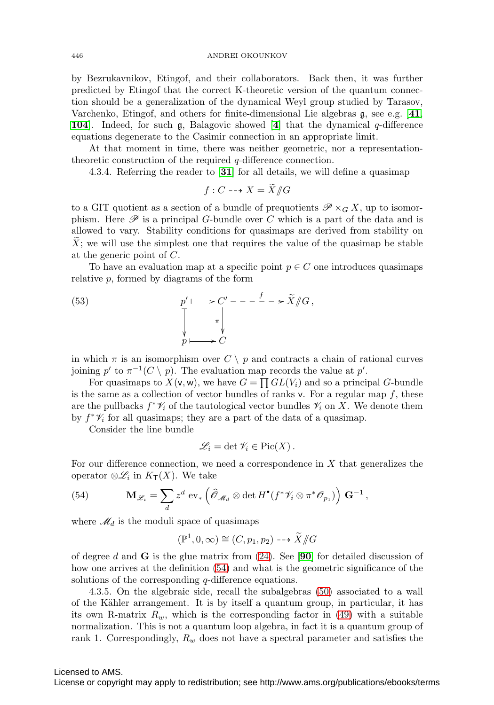by Bezrukavnikov, Etingof, and their collaborators. Back then, it was further predicted by Etingof that the correct K-theoretic version of the quantum connection should be a generalization of the dynamical Weyl group studied by Tarasov, Varchenko, Etingof, and others for finite-dimensional Lie algebras g, see e.g. [**[41](#page-35-17)**, **[104](#page-37-22)**]. Indeed, for such g, Balagovic showed [**[4](#page-33-6)**] that the dynamical q-difference equations degenerate to the Casimir connection in an appropriate limit.

At that moment in time, there was neither geometric, nor a representationtheoretic construction of the required q-difference connection.

4.3.4. Referring the reader to [**[31](#page-35-8)**] for all details, we will define a quasimap

$$
f:C\dashrightarrow X=X/\!\!/ G
$$

to a GIT quotient as a section of a bundle of prequotients  $\mathscr{P} \times_G X$ , up to isomorphism. Here  $\mathscr P$  is a principal G-bundle over C which is a part of the data and is allowed to vary. Stability conditions for quasimaps are derived from stability on  $X$ ; we will use the simplest one that requires the value of the quasimap be stable at the generic point of C.

To have an evaluation map at a specific point  $p \in C$  one introduces quasimaps relative  $p$ , formed by diagrams of the form

(53) 
$$
\begin{aligned}\n p' &\longmapsto C' - - - \frac{f}{\cdot} - \frac{\tilde{X}}{G}, \\
 \int_{p \longmapsto C} \pi \Big|_{p \longrightarrow C}\n \end{aligned}
$$

in which  $\pi$  is an isomorphism over  $C \setminus p$  and contracts a chain of rational curves joining p' to  $\pi^{-1}(C \setminus p)$ . The evaluation map records the value at p'.

For quasimaps to  $X(\mathsf{v},\mathsf{w})$ , we have  $G = \prod GL(V_i)$  and so a principal G-bundle is the same as a collection of vector bundles of ranks  $v$ . For a regular map  $f$ , these are the pullbacks  $f^*\mathscr{V}_i$  of the tautological vector bundles  $\mathscr{V}_i$  on X. We denote them by  $f^*V_i$  for all quasimaps; they are a part of the data of a quasimap.

Consider the line bundle

$$
\mathscr{L}_i = \det \mathscr{V}_i \in \mathrm{Pic}(X) .
$$

For our difference connection, we need a correspondence in  $X$  that generalizes the operator  $\otimes \mathscr{L}_i$  in  $K_\mathsf{T}(X)$ . We take

<span id="page-27-0"></span>(54) 
$$
\mathbf{M}_{\mathscr{L}_i} = \sum_d z^d \operatorname{ev}_* \left( \widehat{\mathscr{O}}_{\mathscr{M}_d} \otimes \det H^{\bullet}(f^* \mathscr{V}_i \otimes \pi^* \mathscr{O}_{p_1}) \right) \mathbf{G}^{-1},
$$

where  $\mathcal{M}_d$  is the moduli space of quasimaps

$$
(\mathbb{P}^1,0,\infty) \cong (C,p_1,p_2) \dashrightarrow \widetilde{X}/\!\!/ G
$$

of degree d and **G** is the glue matrix from [\(24\)](#page-13-0). See [**[90](#page-37-0)**] for detailed discussion of how one arrives at the definition [\(54\)](#page-27-0) and what is the geometric significance of the solutions of the corresponding q-difference equations.

4.3.5. On the algebraic side, recall the subalgebras [\(50\)](#page-25-2) associated to a wall of the K¨ahler arrangement. It is by itself a quantum group, in particular, it has its own R-matrix  $R_w$ , which is the corresponding factor in [\(49\)](#page-25-0) with a suitable normalization. This is not a quantum loop algebra, in fact it is a quantum group of rank 1. Correspondingly,  $R_w$  does not have a spectral parameter and satisfies the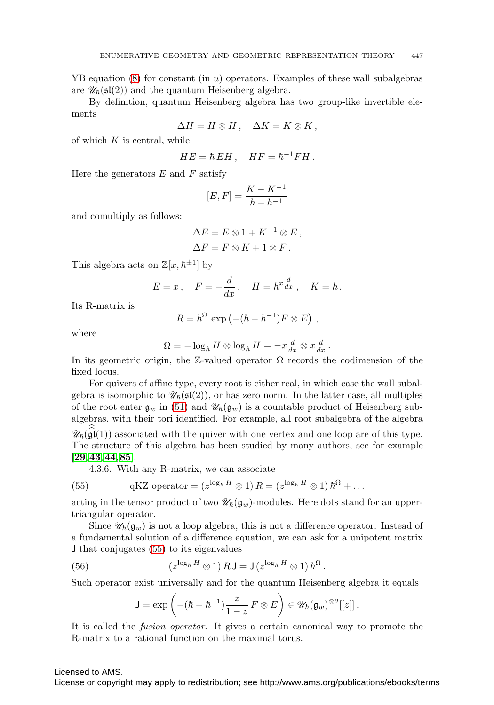$YB$  equation [\(8\)](#page-5-1) for constant (in u) operators. Examples of these wall subalgebras are  $\mathscr{U}_{\hbar}(\mathfrak{sl}(2))$  and the quantum Heisenberg algebra.

By definition, quantum Heisenberg algebra has two group-like invertible elements

$$
\Delta H = H \otimes H \,, \quad \Delta K = K \otimes K \,,
$$

of which  $K$  is central, while

$$
HE = \hbar EH \,, \quad HF = \hbar^{-1}FH \,.
$$

Here the generators  $E$  and  $F$  satisfy

$$
[E,F]=\frac{K-K^{-1}}{\hbar-\hbar^{-1}}
$$

and comultiply as follows:

$$
\Delta E = E \otimes 1 + K^{-1} \otimes E,
$$
  

$$
\Delta F = F \otimes K + 1 \otimes F.
$$

This algebra acts on  $\mathbb{Z}[x,\hbar^{\pm 1}]$  by

$$
E=x\,,\quad F=-\frac{d}{dx}\,,\quad H=\hbar^x\frac{d}{dx}\,,\quad K=\hbar\,.
$$

Its R-matrix is

$$
R = \hbar^{\Omega} \exp \left( -(\hbar - \hbar^{-1}) F \otimes E \right) ,
$$

where

$$
\Omega = -\log_{\hbar} H \otimes \log_{\hbar} H = -x \frac{d}{dx} \otimes x \frac{d}{dx}.
$$

In its geometric origin, the Z-valued operator  $\Omega$  records the codimension of the fixed locus.

For quivers of affine type, every root is either real, in which case the wall subalgebra is isomorphic to  $\mathscr{U}_{\hbar}(\mathfrak{sl}(2))$ , or has zero norm. In the latter case, all multiples of the root enter  $\mathfrak{g}_w$  in [\(51\)](#page-25-4) and  $\mathscr{U}_h(\mathfrak{g}_w)$  is a countable product of Heisenberg subalgebras, with their tori identified. For example, all root subalgebra of the algebra  $\mathscr{U}_{\hbar}(\mathfrak{gl}(1))$  associated with the quiver with one vertex and one loop are of this type. The structure of this algebra has been studied by many authors, see for example [**[29](#page-34-16)**,**[43](#page-35-18)**,**[44](#page-35-19)**,**[85](#page-37-23)**].

4.3.6. With any R-matrix, we can associate

<span id="page-28-0"></span>(55) 
$$
qKZ \text{ operator} = (z^{\log_h H} \otimes 1) R = (z^{\log_h H} \otimes 1) \hbar^{\Omega} + \dots
$$

acting in the tensor product of two  $\mathscr{U}_{\hbar}(\mathfrak{g}_w)$ -modules. Here dots stand for an uppertriangular operator.

Since  $\mathscr{U}_{\hbar}(\mathfrak{g}_w)$  is not a loop algebra, this is not a difference operator. Instead of a fundamental solution of a difference equation, we can ask for a unipotent matrix J that conjugates [\(55\)](#page-28-0) to its eigenvalues

<span id="page-28-1"></span>(56) 
$$
(z^{\log_h H} \otimes 1) R J = J (z^{\log_h H} \otimes 1) \hbar^{\Omega}.
$$

Such operator exist universally and for the quantum Heisenberg algebra it equals

$$
\mathsf{J} = \exp\left(-(\hbar - \hbar^{-1})\frac{z}{1-z}F \otimes E\right) \in \mathscr{U}_{\hbar}(\mathfrak{g}_w)^{\otimes 2}[[z]]\,.
$$

It is called the fusion operator. It gives a certain canonical way to promote the R-matrix to a rational function on the maximal torus.

#### Licensed to AMS.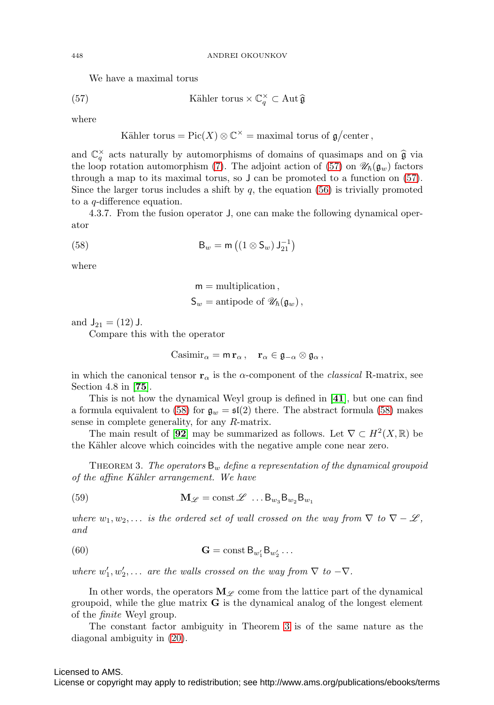We have a maximal torus

<span id="page-29-0"></span>(57) Kähler torus 
$$
\propto \mathbb{C}_q^{\times} \subset \text{Aut } \widehat{\mathfrak{g}}
$$

where

Kähler torus = Pic(X) 
$$
\otimes \mathbb{C}^{\times}
$$
 = maximal torus of  $\mathfrak{g}/\text{center}$ ,

and  $\mathbb{C}_q^{\times}$  acts naturally by automorphisms of domains of quasimaps and on  $\widehat{\mathfrak{g}}$  via the loop rotation automorphism [\(7\)](#page-5-3). The adjoint action of [\(57\)](#page-29-0) on  $\mathscr{U}_{\hbar}(\mathfrak{g}_w)$  factors through a map to its maximal torus, so J can be promoted to a function on [\(57\)](#page-29-0). Since the larger torus includes a shift by  $q$ , the equation [\(56\)](#page-28-1) is trivially promoted to a q-difference equation.

4.3.7. From the fusion operator J, one can make the following dynamical operator

<span id="page-29-1"></span>(58) 
$$
\mathsf{B}_w = \mathsf{m}\left(\left(1\otimes \mathsf{S}_w\right)\mathsf{J}_{21}^{-1}\right)
$$

where

 $m =$  multiplication,  $\mathsf{S}_w = \text{antipode of } \mathscr{U}_{\hbar}(\mathfrak{g}_w),$ 

and  $J_{21} = (12)$  J.

Compare this with the operator

$$
Casimir_{\alpha} = m r_{\alpha}, \quad r_{\alpha} \in \mathfrak{g}_{-\alpha} \otimes \mathfrak{g}_{\alpha},
$$

in which the canonical tensor **r**<sub>α</sub> is the  $\alpha$ -component of the *classical* R-matrix, see Section 4.8 in [**[75](#page-36-9)**].

This is not how the dynamical Weyl group is defined in [**[41](#page-35-17)**], but one can find a formula equivalent to [\(58\)](#page-29-1) for  $\mathfrak{g}_w = \mathfrak{sl}(2)$  there. The abstract formula (58) makes sense in complete generality, for any R-matrix.

The main result of [[92](#page-37-13)] may be summarized as follows. Let  $\nabla \subset H^2(X,\mathbb{R})$  be the Kähler alcove which coincides with the negative ample cone near zero.

<span id="page-29-2"></span>THEOREM 3. The operators  $B_w$  define a representation of the dynamical groupoid of the affine Kähler arrangement. We have

<span id="page-29-3"></span>(59) 
$$
\mathbf{M}_{\mathscr{L}} = \text{const}\mathscr{L}\dots\mathbf{B}_{w_3}\mathbf{B}_{w_2}\mathbf{B}_{w_1}
$$

where  $w_1, w_2, \ldots$  is the ordered set of wall crossed on the way from  $\nabla$  to  $\nabla - \mathscr{L}$ , and

<span id="page-29-4"></span>(60) 
$$
\mathbf{G} = \text{const} \, \mathsf{B}_{w'_1} \mathsf{B}_{w'_2} \dots
$$

where  $w'_1, w'_2, \ldots$  are the walls crossed on the way from  $\nabla$  to  $-\nabla$ .

In other words, the operators  $M_{\mathscr{L}}$  come from the lattice part of the dynamical groupoid, while the glue matrix **G** is the dynamical analog of the longest element of the finite Weyl group.

The constant factor ambiguity in Theorem [3](#page-29-2) is of the same nature as the diagonal ambiguity in [\(20\)](#page-11-0).

Licensed to AMS.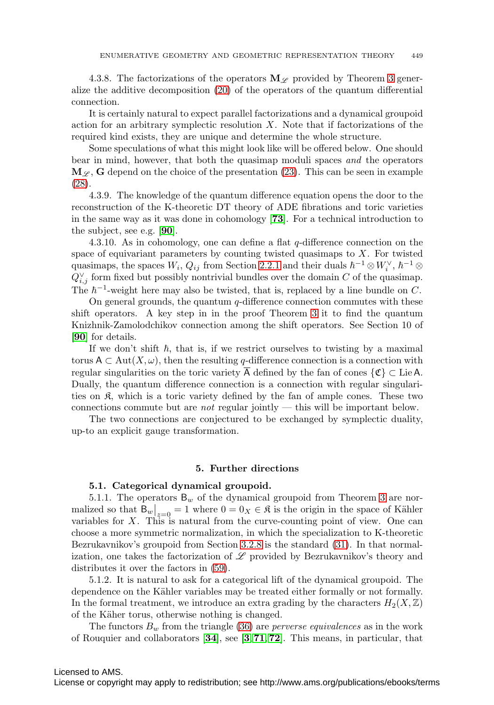4.3.8. The factorizations of the operators  $M_{\mathscr{L}}$  provided by Theorem [3](#page-29-2) generalize the additive decomposition [\(20\)](#page-11-0) of the operators of the quantum differential connection.

It is certainly natural to expect parallel factorizations and a dynamical groupoid action for an arbitrary symplectic resolution  $X$ . Note that if factorizations of the required kind exists, they are unique and determine the whole structure.

Some speculations of what this might look like will be offered below. One should bear in mind, however, that both the quasimap moduli spaces and the operators  $\mathbf{M}_{\mathscr{L}}$ , **G** depend on the choice of the presentation [\(23\)](#page-12-2). This can be seen in example [\(28\)](#page-15-0).

4.3.9. The knowledge of the quantum difference equation opens the door to the reconstruction of the K-theoretic DT theory of ADE fibrations and toric varieties in the same way as it was done in cohomology [**[73](#page-36-6)**]. For a technical introduction to the subject, see e.g. [**[90](#page-37-0)**].

<span id="page-30-0"></span>4.3.10. As in cohomology, one can define a flat q-difference connection on the space of equivariant parameters by counting twisted quasimaps to  $X$ . For twisted quasimaps, the spaces  $W_i$ ,  $Q_{ij}$  from Section [2.2.1](#page-8-4) and their duals  $\hbar^{-1} \otimes W_i^{\vee}$ ,  $\hbar^{-1} \otimes$  $Q_{i,j}^{\vee}$  form fixed but possibly nontrivial bundles over the domain C of the quasimap. The  $\hbar^{-1}$ -weight here may also be twisted, that is, replaced by a line bundle on C.

On general grounds, the quantum  $q$ -difference connection commutes with these shift operators. A key step in in the proof Theorem [3](#page-29-2) it to find the quantum Knizhnik-Zamolodchikov connection among the shift operators. See Section 10 of [**[90](#page-37-0)**] for details.

If we don't shift  $\hbar$ , that is, if we restrict ourselves to twisting by a maximal torus  $A \subset Aut(X, \omega)$ , then the resulting q-difference connection is a connection with regular singularities on the toric variety  $\overline{A}$  defined by the fan of cones  $\{\mathfrak{C}\}\subset\mathrm{Lie}\,\mathsf{A}.$ Dually, the quantum difference connection is a connection with regular singularities on  $\mathfrak{K}$ , which is a toric variety defined by the fan of ample cones. These two connections commute but are not regular jointly — this will be important below.

The two connections are conjectured to be exchanged by symplectic duality, up-to an explicit gauge transformation.

## **5. Further directions**

#### **5.1. Categorical dynamical groupoid.**

5.1.1. The operators  $B_w$  of the dynamical groupoid from Theorem [3](#page-29-2) are normalized so that  $B_w|_{z=0} = 1$  where  $0 = 0_X \in \mathfrak{K}$  is the origin in the space of Kähler variables for  $X$ . This is natural from the curve-counting point of view. One can choose a more symmetric normalization, in which the specialization to K-theoretic Bezrukavnikov's groupoid from Section [3.2.8](#page-20-2) is the standard [\(31\)](#page-17-1). In that normalization, one takes the factorization of  $\mathscr L$  provided by Bezrukavnikov's theory and distributes it over the factors in [\(59\)](#page-29-3).

5.1.2. It is natural to ask for a categorical lift of the dynamical groupoid. The dependence on the Kähler variables may be treated either formally or not formally. In the formal treatment, we introduce an extra grading by the characters  $H_2(X,\mathbb{Z})$ of the Käher torus, otherwise nothing is changed.

The functors  $B_w$  from the triangle [\(36\)](#page-20-1) are *perverse equivalences* as in the work of Rouquier and collaborators [**[34](#page-35-20)**], see [**[3](#page-33-2)**,**[71](#page-36-22)**,**[72](#page-36-14)**]. This means, in particular, that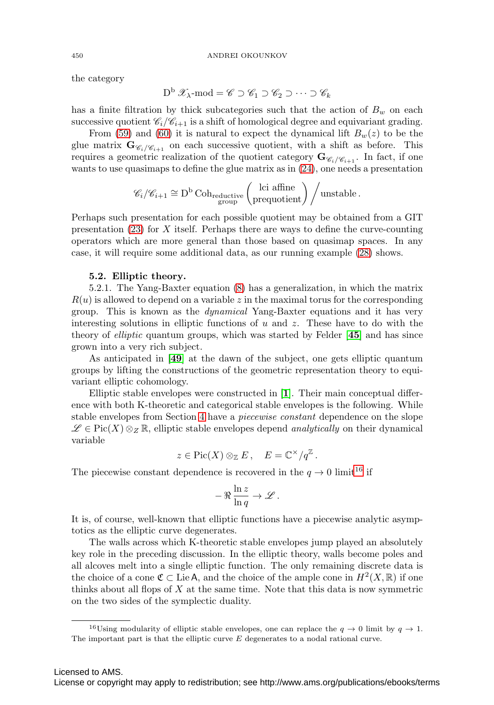the category

$$
D^b \mathscr{X}_{\lambda} \text{-mod} = \mathscr{C} \supset \mathscr{C}_1 \supset \mathscr{C}_2 \supset \cdots \supset \mathscr{C}_k
$$

has a finite filtration by thick subcategories such that the action of  $B_w$  on each successive quotient  $\mathcal{C}_i/\mathcal{C}_{i+1}$  is a shift of homological degree and equivariant grading.

From [\(59\)](#page-29-3) and [\(60\)](#page-29-4) it is natural to expect the dynamical lift  $B_w(z)$  to be the glue matrix  $\mathbf{G}_{\mathscr{C}_i/\mathscr{C}_{i+1}}$  on each successive quotient, with a shift as before. This requires a geometric realization of the quotient category  $\mathbf{G}_{\mathscr{C}_i/\mathscr{C}_{i+1}}$ . In fact, if one wants to use quasimaps to define the glue matrix as in [\(24\)](#page-13-0), one needs a presentation

$$
\mathscr{C}_i/\mathscr{C}_{i+1} \cong \mathrm{D^b\,Coh}_{\mathrm{reductive}}\left(\begin{matrix}\mathrm{lci\;affine}\\\mathrm{prequotient}\end{matrix}\right)\Big/\mathrm{unstable}\,.
$$

Perhaps such presentation for each possible quotient may be obtained from a GIT presentation  $(23)$  for X itself. Perhaps there are ways to define the curve-counting operators which are more general than those based on quasimap spaces. In any case, it will require some additional data, as our running example [\(28\)](#page-15-0) shows.

## **5.2. Elliptic theory.**

<span id="page-31-1"></span>5.2.1. The Yang-Baxter equation [\(8\)](#page-5-1) has a generalization, in which the matrix  $R(u)$  is allowed to depend on a variable z in the maximal torus for the corresponding group. This is known as the dynamical Yang-Baxter equations and it has very interesting solutions in elliptic functions of  $u$  and  $z$ . These have to do with the theory of elliptic quantum groups, which was started by Felder [**[45](#page-35-21)**] and has since grown into a very rich subject.

As anticipated in [**[49](#page-35-22)**] at the dawn of the subject, one gets elliptic quantum groups by lifting the constructions of the geometric representation theory to equivariant elliptic cohomology.

Elliptic stable envelopes were constructed in [**[1](#page-33-4)**]. Their main conceptual difference with both K-theoretic and categorical stable envelopes is the following. While stable envelopes from Section [4](#page-21-2) have a piecewise constant dependence on the slope  $\mathscr{L}$  ∈ Pic(X)  $\otimes_Z \mathbb{R}$ , elliptic stable envelopes depend *analytically* on their dynamical variable

$$
z \in \operatorname{Pic}(X) \otimes_{\mathbb{Z}} E, \quad E = \mathbb{C}^{\times}/q^{\mathbb{Z}}.
$$

The piecewise constant dependence is recovered in the  $q \to 0$  limit<sup>[16](#page-31-0)</sup> if

$$
-\Re\frac{\ln z}{\ln q}\to\mathscr{L}.
$$

It is, of course, well-known that elliptic functions have a piecewise analytic asymptotics as the elliptic curve degenerates.

The walls across which K-theoretic stable envelopes jump played an absolutely key role in the preceding discussion. In the elliptic theory, walls become poles and all alcoves melt into a single elliptic function. The only remaining discrete data is the choice of a cone  $\mathfrak{C} \subset \mathrm{Lie}\,\mathsf{A}$ , and the choice of the ample cone in  $H^2(X,\mathbb{R})$  if one thinks about all flops of  $X$  at the same time. Note that this data is now symmetric on the two sides of the symplectic duality.

<span id="page-31-0"></span><sup>&</sup>lt;sup>16</sup>Using modularity of elliptic stable envelopes, one can replace the  $q \to 0$  limit by  $q \to 1$ . The important part is that the elliptic curve E degenerates to a nodal rational curve.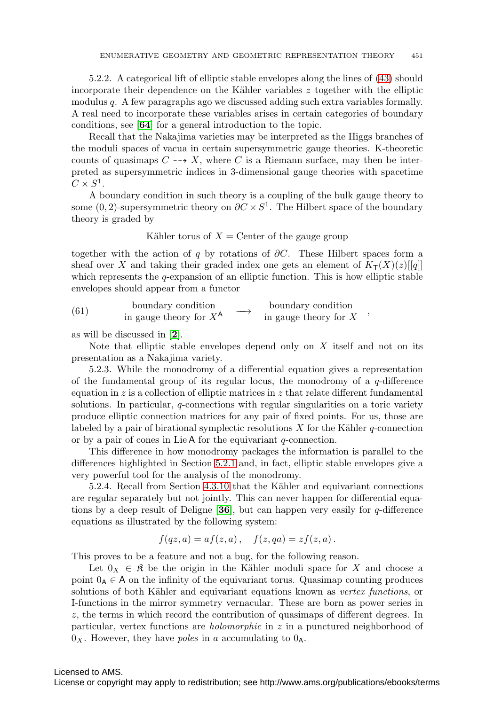5.2.2. A categorical lift of elliptic stable envelopes along the lines of [\(43\)](#page-24-3) should incorporate their dependence on the Kähler variables  $z$  together with the elliptic modulus q. A few paragraphs ago we discussed adding such extra variables formally. A real need to incorporate these variables arises in certain categories of boundary conditions, see [**[64](#page-36-23)**] for a general introduction to the topic.

Recall that the Nakajima varieties may be interpreted as the Higgs branches of the moduli spaces of vacua in certain supersymmetric gauge theories. K-theoretic counts of quasimaps  $C \dashrightarrow X$ , where C is a Riemann surface, may then be interpreted as supersymmetric indices in 3-dimensional gauge theories with spacetime  $C \times S^1$ .

A boundary condition in such theory is a coupling of the bulk gauge theory to some (0, 2)-supersymmetric theory on  $\partial C \times S^1$ . The Hilbert space of the boundary theory is graded by

## Kähler torus of  $X =$  Center of the gauge group

together with the action of q by rotations of  $\partial C$ . These Hilbert spaces form a sheaf over X and taking their graded index one gets an element of  $K_T(X)(z)[q]]$ which represents the  $q$ -expansion of an elliptic function. This is how elliptic stable envelopes should appear from a functor

(61) boundary condition  
in gauge theory for 
$$
X^A
$$
  $\longrightarrow$  in gauge theory for X

as will be discussed in [**[2](#page-33-7)**].

Note that elliptic stable envelopes depend only on  $X$  itself and not on its presentation as a Nakajima variety.

5.2.3. While the monodromy of a differential equation gives a representation of the fundamental group of its regular locus, the monodromy of a  $q$ -difference equation in z is a collection of elliptic matrices in z that relate different fundamental solutions. In particular,  $q$ -connections with regular singularities on a toric variety produce elliptic connection matrices for any pair of fixed points. For us, those are labeled by a pair of birational symplectic resolutions  $X$  for the Kähler  $q$ -connection or by a pair of cones in Lie A for the equivariant q-connection.

This difference in how monodromy packages the information is parallel to the differences highlighted in Section [5.2.1](#page-31-1) and, in fact, elliptic stable envelopes give a very powerful tool for the analysis of the monodromy.

5.2.4. Recall from Section [4.3.10](#page-30-0) that the Kähler and equivariant connections are regular separately but not jointly. This can never happen for differential equations by a deep result of Deligne [**[36](#page-35-23)**], but can happen very easily for q-difference equations as illustrated by the following system:

$$
f(qz, a) = af(z, a), \quad f(z, qa) = zf(z, a).
$$

This proves to be a feature and not a bug, for the following reason.

Let  $0_X \in \mathfrak{K}$  be the origin in the Kähler moduli space for X and choose a point  $0_A \in A$  on the infinity of the equivariant torus. Quasimap counting produces solutions of both Kähler and equivariant equations known as vertex functions, or I-functions in the mirror symmetry vernacular. These are born as power series in z, the terms in which record the contribution of quasimaps of different degrees. In particular, vertex functions are holomorphic in z in a punctured neighborhood of  $0_X$ . However, they have poles in a accumulating to  $0_A$ .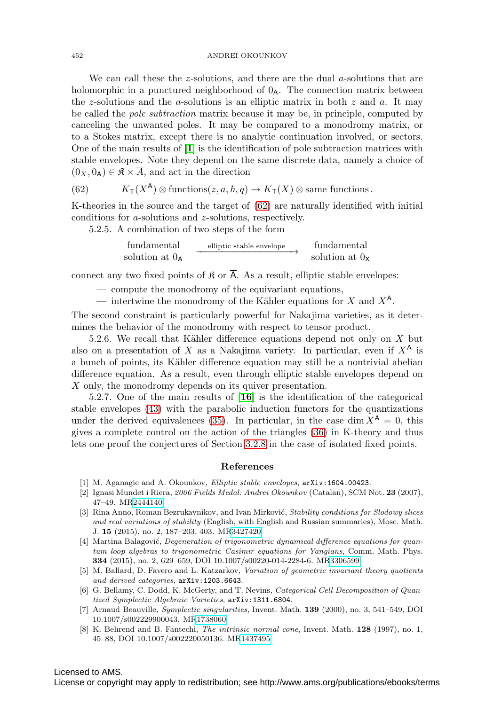#### 452 ANDREI OKOUNKOV

We can call these the z-solutions, and there are the dual a-solutions that are holomorphic in a punctured neighborhood of  $0_A$ . The connection matrix between the z-solutions and the a-solutions is an elliptic matrix in both  $z$  and  $a$ . It may be called the pole subtraction matrix because it may be, in principle, computed by canceling the unwanted poles. It may be compared to a monodromy matrix, or to a Stokes matrix, except there is no analytic continuation involved, or sectors. One of the main results of [**[1](#page-33-4)**] is the identification of pole subtraction matrices with stable envelopes. Note they depend on the same discrete data, namely a choice of  $(0_X, 0_A) \in \mathfrak{K} \times \overline{A}$ , and act in the direction

<span id="page-33-8"></span>(62) 
$$
K_T(X^A) \otimes \text{functions}(z, a, \hbar, q) \to K_T(X) \otimes \text{same functions}.
$$

K-theories in the source and the target of [\(62\)](#page-33-8) are naturally identified with initial conditions for a-solutions and z-solutions, respectively.

5.2.5. A combination of two steps of the form

| fundamental       | elliptic stable envelope | fundamental      |
|-------------------|--------------------------|------------------|
| solution at $0_A$ |                          | solution at $0x$ |

connect any two fixed points of  $\mathfrak K$  or  $\overline{\mathsf A}$ . As a result, elliptic stable envelopes:

- compute the monodromy of the equivariant equations,
- intertwine the monodromy of the Kähler equations for X and  $X^{\mathsf{A}}$ .

The second constraint is particularly powerful for Nakajima varieties, as it determines the behavior of the monodromy with respect to tensor product.

5.2.6. We recall that Kähler difference equations depend not only on  $X$  but also on a presentation of X as a Nakajima variety. In particular, even if  $X^A$  is a bunch of points, its Kähler difference equation may still be a nontrivial abelian difference equation. As a result, even through elliptic stable envelopes depend on X only, the monodromy depends on its quiver presentation.

5.2.7. One of the main results of [**[16](#page-34-15)**] is the identification of the categorical stable envelopes [\(43\)](#page-24-3) with the parabolic induction functors for the quantizations under the derived equivalences [\(35\)](#page-19-2). In particular, in the case dim  $X^A = 0$ , this gives a complete control on the action of the triangles [\(36\)](#page-20-1) in K-theory and thus lets one proof the conjectures of Section [3.2.8](#page-20-2) in the case of isolated fixed points.

#### **References**

- <span id="page-33-4"></span>[1] M. Aganagic and A. Okounkov, *Elliptic stable envelopes*,  $arXiv:1604.00423$ .
- <span id="page-33-7"></span>[2] Ignasi Mundet i Riera, 2006 Fields Medal: Andrei Okounkov (Catalan), SCM Not. **23** (2007), 47–49. M[R2444140](http://www.ams.org/mathscinet-getitem?mr=2444140)
- <span id="page-33-2"></span>[3] Rina Anno, Roman Bezrukavnikov, and Ivan Mirković, Stability conditions for Slodowy slices and real variations of stability (English, with English and Russian summaries), Mosc. Math. J. **15** (2015), no. 2, 187–203, 403. M[R3427420](http://www.ams.org/mathscinet-getitem?mr=3427420)
- <span id="page-33-6"></span>[4] Martina Balagović, Degeneration of trigonometric dynamical difference equations for quantum loop algebras to trigonometric Casimir equations for Yangians, Comm. Math. Phys. **334** (2015), no. 2, 629–659, DOI 10.1007/s00220-014-2284-6. M[R3306599](http://www.ams.org/mathscinet-getitem?mr=3306599)
- <span id="page-33-5"></span>[5] M. Ballard, D. Favero and L. Katzarkov, Variation of geometric invariant theory quotients and derived categories, arXiv:1203.6643.
- <span id="page-33-3"></span>[6] G. Bellamy, C. Dodd, K. McGerty, and T. Nevins, Categorical Cell Decomposition of Quantized Symplectic Algebraic Varieties, arXiv:1311.6804.
- <span id="page-33-1"></span>[7] Arnaud Beauville, Symplectic singularities, Invent. Math. **139** (2000), no. 3, 541–549, DOI 10.1007/s002229900043. M[R1738060](http://www.ams.org/mathscinet-getitem?mr=1738060)
- <span id="page-33-0"></span>[8] K. Behrend and B. Fantechi, The intrinsic normal cone, Invent. Math. **128** (1997), no. 1, 45–88, DOI 10.1007/s002220050136. M[R1437495](http://www.ams.org/mathscinet-getitem?mr=1437495)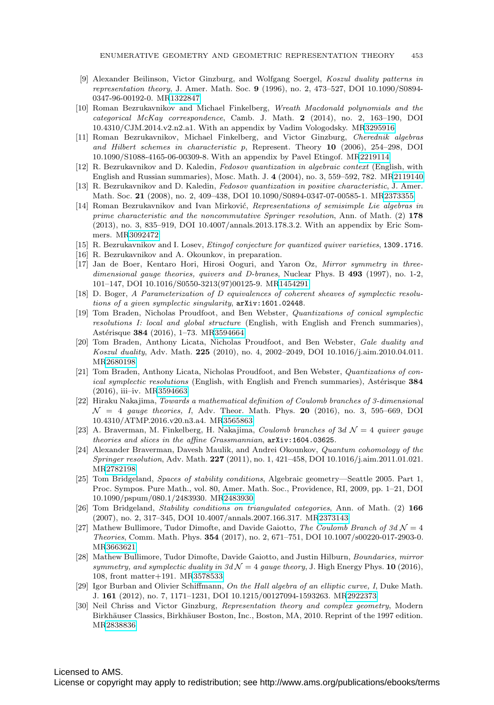- <span id="page-34-13"></span>[9] Alexander Beilinson, Victor Ginzburg, and Wolfgang Soergel, Koszul duality patterns in representation theory, J. Amer. Math. Soc. **9** (1996), no. 2, 473–527, DOI 10.1090/S0894- 0347-96-00192-0. M[R1322847](http://www.ams.org/mathscinet-getitem?mr=1322847)
- <span id="page-34-11"></span>[10] Roman Bezrukavnikov and Michael Finkelberg, Wreath Macdonald polynomials and the categorical McKay correspondence, Camb. J. Math. **2** (2014), no. 2, 163–190, DOI 10.4310/CJM.2014.v2.n2.a1. With an appendix by Vadim Vologodsky. M[R3295916](http://www.ams.org/mathscinet-getitem?mr=3295916)
- [11] Roman Bezrukavnikov, Michael Finkelberg, and Victor Ginzburg, Cherednik algebras and Hilbert schemes in characteristic p, Represent. Theory **10** (2006), 254–298, DOI 10.1090/S1088-4165-06-00309-8. With an appendix by Pavel Etingof. M[R2219114](http://www.ams.org/mathscinet-getitem?mr=2219114)
- [12] R. Bezrukavnikov and D. Kaledin, Fedosov quantization in algebraic context (English, with English and Russian summaries), Mosc. Math. J. **4** (2004), no. 3, 559–592, 782. M[R2119140](http://www.ams.org/mathscinet-getitem?mr=2119140)
- [13] R. Bezrukavnikov and D. Kaledin, Fedosov quantization in positive characteristic, J. Amer. Math. Soc. **21** (2008), no. 2, 409–438, DOI 10.1090/S0894-0347-07-00585-1. M[R2373355](http://www.ams.org/mathscinet-getitem?mr=2373355)
- [14] Roman Bezrukavnikov and Ivan Mirković, Representations of semisimple Lie algebras in prime characteristic and the noncommutative Springer resolution, Ann. of Math. (2) **178** (2013), no. 3, 835–919, DOI 10.4007/annals.2013.178.3.2. With an appendix by Eric Sommers. M[R3092472](http://www.ams.org/mathscinet-getitem?mr=3092472)
- <span id="page-34-12"></span>[15] R. Bezrukavnikov and I. Losev, *Etingof conjecture for quantized quiver varieties*, 1309.1716.
- <span id="page-34-15"></span>[16] R. Bezrukavnikov and A. Okounkov, in preparation.
- <span id="page-34-0"></span>[17] Jan de Boer, Kentaro Hori, Hirosi Ooguri, and Yaron Oz, Mirror symmetry in threedimensional gauge theories, quivers and D-branes, Nuclear Phys. B **493** (1997), no. 1-2, 101–147, DOI 10.1016/S0550-3213(97)00125-9. M[R1454291](http://www.ams.org/mathscinet-getitem?mr=1454291)
- <span id="page-34-14"></span>[18] D. Boger, A Parameterization of D equivalences of coherent sheaves of symplectic resolutions of a given symplectic singularity, arXiv:1601.02448.
- <span id="page-34-8"></span>[19] Tom Braden, Nicholas Proudfoot, and Ben Webster, Quantizations of conical symplectic resolutions I: local and global structure (English, with English and French summaries), Astérisque **384** (2016), 1-73. M[R3594664](http://www.ams.org/mathscinet-getitem?mr=3594664)
- <span id="page-34-3"></span>[20] Tom Braden, Anthony Licata, Nicholas Proudfoot, and Ben Webster, Gale duality and Koszul duality, Adv. Math. **225** (2010), no. 4, 2002–2049, DOI 10.1016/j.aim.2010.04.011. M[R2680198](http://www.ams.org/mathscinet-getitem?mr=2680198)
- <span id="page-34-4"></span>[21] Tom Braden, Anthony Licata, Nicholas Proudfoot, and Ben Webster, Quantizations of conical symplectic resolutions (English, with English and French summaries), Astérisque 384 (2016), iii–iv. M[R3594663](http://www.ams.org/mathscinet-getitem?mr=3594663)
- [22] Hiraku Nakajima, Towards a mathematical definition of Coulomb branches of 3-dimensional  $\mathcal{N} = 4$  gauge theories, I, Adv. Theor. Math. Phys. **20** (2016), no. 3, 595–669, DOI 10.4310/ATMP.2016.v20.n3.a4. M[R3565863](http://www.ams.org/mathscinet-getitem?mr=3565863)
- <span id="page-34-5"></span>[23] A. Braverman, M. Finkelberg, H. Nakajima, Coulomb branches of 3d  $\mathcal{N}=4$  quiver gauge theories and slices in the affine Grassmannian, arXiv:1604.03625.
- <span id="page-34-6"></span>[24] Alexander Braverman, Davesh Maulik, and Andrei Okounkov, Quantum cohomology of the Springer resolution, Adv. Math. **227** (2011), no. 1, 421–458, DOI 10.1016/j.aim.2011.01.021. M[R2782198](http://www.ams.org/mathscinet-getitem?mr=2782198)
- <span id="page-34-9"></span>[25] Tom Bridgeland, Spaces of stability conditions, Algebraic geometry—Seattle 2005. Part 1, Proc. Sympos. Pure Math., vol. 80, Amer. Math. Soc., Providence, RI, 2009, pp. 1–21, DOI 10.1090/pspum/080.1/2483930. M[R2483930](http://www.ams.org/mathscinet-getitem?mr=2483930)
- <span id="page-34-10"></span>[26] Tom Bridgeland, Stability conditions on triangulated categories, Ann. of Math. (2) **166** (2007), no. 2, 317–345, DOI 10.4007/annals.2007.166.317. M[R2373143](http://www.ams.org/mathscinet-getitem?mr=2373143)
- <span id="page-34-1"></span>[27] Mathew Bullimore, Tudor Dimofte, and Davide Gaiotto, The Coulomb Branch of  $3d\mathcal{N}=4$ Theories, Comm. Math. Phys. **354** (2017), no. 2, 671–751, DOI 10.1007/s00220-017-2903-0. M[R3663621](http://www.ams.org/mathscinet-getitem?mr=3663621)
- <span id="page-34-2"></span>[28] Mathew Bullimore, Tudor Dimofte, Davide Gaiotto, and Justin Hilburn, Boundaries, mirror symmetry, and symplectic duality in  $3d \mathcal{N} = 4$  gauge theory, J. High Energy Phys. **10** (2016), 108, front matter+191. M[R3578533](http://www.ams.org/mathscinet-getitem?mr=3578533)
- <span id="page-34-16"></span>[29] Igor Burban and Olivier Schiffmann, On the Hall algebra of an elliptic curve, I, Duke Math. J. **161** (2012), no. 7, 1171–1231, DOI 10.1215/00127094-1593263. M[R2922373](http://www.ams.org/mathscinet-getitem?mr=2922373)
- <span id="page-34-7"></span>[30] Neil Chriss and Victor Ginzburg, Representation theory and complex geometry, Modern Birkhäuser Classics, Birkhäuser Boston, Inc., Boston, MA, 2010. Reprint of the 1997 edition. M[R2838836](http://www.ams.org/mathscinet-getitem?mr=2838836)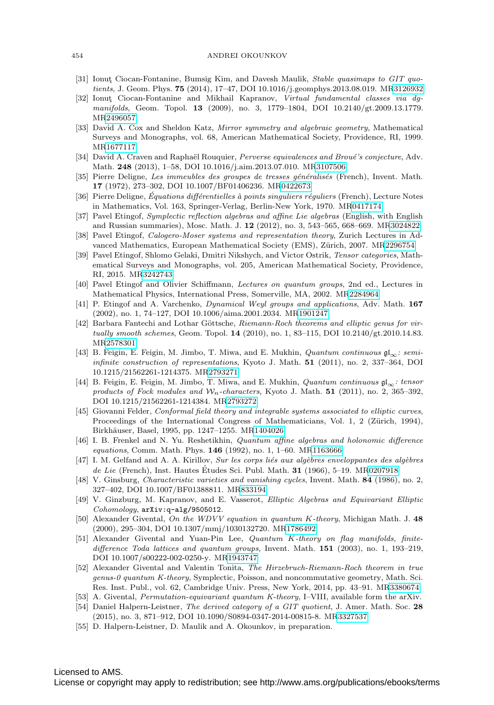- <span id="page-35-8"></span>[31] Ionut Ciocan-Fontanine, Bumsig Kim, and Davesh Maulik, Stable quasimaps to GIT quotients, J. Geom. Phys. **75** (2014), 17–47, DOI 10.1016/j.geomphys.2013.08.019. M[R3126932](http://www.ams.org/mathscinet-getitem?mr=3126932)
- <span id="page-35-0"></span>[32] Ionut Ciocan-Fontanine and Mikhail Kapranov, Virtual fundamental classes via dgmanifolds, Geom. Topol. **13** (2009), no. 3, 1779–1804, DOI 10.2140/gt.2009.13.1779. M[R2496057](http://www.ams.org/mathscinet-getitem?mr=2496057)
- <span id="page-35-5"></span>[33] David A. Cox and Sheldon Katz, Mirror symmetry and algebraic geometry, Mathematical Surveys and Monographs, vol. 68, American Mathematical Society, Providence, RI, 1999. M[R1677117](http://www.ams.org/mathscinet-getitem?mr=1677117)
- <span id="page-35-20"></span>[34] David A. Craven and Raphaël Rouquier, Perverse equivalences and Broué's conjecture, Adv. Math. **248** (2013), 1–58, DOI 10.1016/j.aim.2013.07.010. M[R3107506](http://www.ams.org/mathscinet-getitem?mr=3107506)
- <span id="page-35-9"></span>[35] Pierre Deligne, Les immeubles des groupes de tresses généralisés (French), Invent. Math. **17** (1972), 273–302, DOI 10.1007/BF01406236. M[R0422673](http://www.ams.org/mathscinet-getitem?mr=0422673)
- <span id="page-35-23"></span>[36] Pierre Deligne, *Equations differentielles à points singuliers réquliers* (French), Lecture Notes in Mathematics, Vol. 163, Springer-Verlag, Berlin-New York, 1970. M[R0417174](http://www.ams.org/mathscinet-getitem?mr=0417174)
- <span id="page-35-10"></span>[37] Pavel Etingof, Symplectic reflection algebras and affine Lie algebras (English, with English and Russian summaries), Mosc. Math. J. **12** (2012), no. 3, 543–565, 668–669. M[R3024822](http://www.ams.org/mathscinet-getitem?mr=3024822)
- <span id="page-35-12"></span>[38] Pavel Etingof, Calogero-Moser systems and representation theory, Zurich Lectures in Ad-vanced Mathematics, European Mathematical Society (EMS), Zürich, 2007. M[R2296754](http://www.ams.org/mathscinet-getitem?mr=2296754)
- <span id="page-35-3"></span>[39] Pavel Etingof, Shlomo Gelaki, Dmitri Nikshych, and Victor Ostrik, Tensor categories, Mathematical Surveys and Monographs, vol. 205, American Mathematical Society, Providence, RI, 2015. M[R3242743](http://www.ams.org/mathscinet-getitem?mr=3242743)
- <span id="page-35-4"></span>[40] Pavel Etingof and Olivier Schiffmann, Lectures on quantum groups, 2nd ed., Lectures in Mathematical Physics, International Press, Somerville, MA, 2002. M[R2284964](http://www.ams.org/mathscinet-getitem?mr=2284964)
- <span id="page-35-17"></span>[41] P. Etingof and A. Varchenko, Dynamical Weyl groups and applications, Adv. Math. **167** (2002), no. 1, 74–127, DOI 10.1006/aima.2001.2034. M[R1901247](http://www.ams.org/mathscinet-getitem?mr=1901247)
- <span id="page-35-1"></span>[42] Barbara Fantechi and Lothar Göttsche, Riemann-Roch theorems and elliptic genus for virtually smooth schemes, Geom. Topol. **14** (2010), no. 1, 83–115, DOI 10.2140/gt.2010.14.83. M[R2578301](http://www.ams.org/mathscinet-getitem?mr=2578301)
- <span id="page-35-18"></span>[43] B. Feigin, E. Feigin, M. Jimbo, T. Miwa, and E. Mukhin, *Quantum continuous*  $\mathfrak{gl}_{\infty}$ : semiinfinite construction of representations, Kyoto J. Math. **51** (2011), no. 2, 337–364, DOI 10.1215/21562261-1214375. M[R2793271](http://www.ams.org/mathscinet-getitem?mr=2793271)
- <span id="page-35-19"></span>[44] B. Feigin, E. Feigin, M. Jimbo, T. Miwa, and E. Mukhin, *Quantum continuous*  $\mathfrak{gl}_{\infty}$ : tensor products of Fock modules and W<sub>n</sub>-characters, Kyoto J. Math. **51** (2011), no. 2, 365–392, DOI 10.1215/21562261-1214384. M[R2793272](http://www.ams.org/mathscinet-getitem?mr=2793272)
- <span id="page-35-21"></span>[45] Giovanni Felder, Conformal field theory and integrable systems associated to elliptic curves, Proceedings of the International Congress of Mathematicians, Vol. 1, 2 (Zürich, 1994), Birkhäuser, Basel, 1995, pp. 1247-1255. M[R1404026](http://www.ams.org/mathscinet-getitem?mr=1404026)
- <span id="page-35-16"></span>[46] I. B. Frenkel and N. Yu. Reshetikhin, Quantum affine algebras and holonomic difference equations, Comm. Math. Phys. **146** (1992), no. 1, 1–60. M[R1163666](http://www.ams.org/mathscinet-getitem?mr=1163666)
- <span id="page-35-11"></span>[47] I. M. Gelfand and A. A. Kirillov, Sur les corps liés aux algèbres enveloppantes des algèbres de Lie (French), Inst. Hautes Etudes Sci. Publ. Math. **31** (1966), 5–19. M[R0207918](http://www.ams.org/mathscinet-getitem?mr=0207918)
- <span id="page-35-13"></span>[48] V. Ginsburg, Characteristic varieties and vanishing cycles, Invent. Math. **84** (1986), no. 2, 327–402, DOI 10.1007/BF01388811. M[R833194](http://www.ams.org/mathscinet-getitem?mr=833194)
- <span id="page-35-22"></span>[49] V. Ginzburg, M. Kapranov, and E. Vasserot, Elliptic Algebras and Equivariant Elliptic Cohomology, arXiv:q-alg/9505012.
- <span id="page-35-2"></span>[50] Alexander Givental, On the WDVV equation in quantum K-theory, Michigan Math. J. **48** (2000), 295–304, DOI 10.1307/mmj/1030132720. M[R1786492](http://www.ams.org/mathscinet-getitem?mr=1786492)
- <span id="page-35-6"></span>[51] Alexander Givental and Yuan-Pin Lee, Quantum K-theory on flag manifolds, finitedifference Toda lattices and quantum groups, Invent. Math. **151** (2003), no. 1, 193–219, DOI 10.1007/s00222-002-0250-y. M[R1943747](http://www.ams.org/mathscinet-getitem?mr=1943747)
- [52] Alexander Givental and Valentin Tonita, The Hirzebruch-Riemann-Roch theorem in true genus-0 quantum K-theory, Symplectic, Poisson, and noncommutative geometry, Math. Sci. Res. Inst. Publ., vol. 62, Cambridge Univ. Press, New York, 2014, pp. 43–91. M[R3380674](http://www.ams.org/mathscinet-getitem?mr=3380674)
- <span id="page-35-7"></span>[53] A. Givental, *Permutation-equivariant quantum K-theory*, I–VIII, available form the arXiv.
- <span id="page-35-15"></span>[54] Daniel Halpern-Leistner, The derived category of a GIT quotient, J. Amer. Math. Soc. **28** (2015), no. 3, 871–912, DOI 10.1090/S0894-0347-2014-00815-8. M[R3327537](http://www.ams.org/mathscinet-getitem?mr=3327537)
- <span id="page-35-14"></span>[55] D. Halpern-Leistner, D. Maulik and A. Okounkov, in preparation.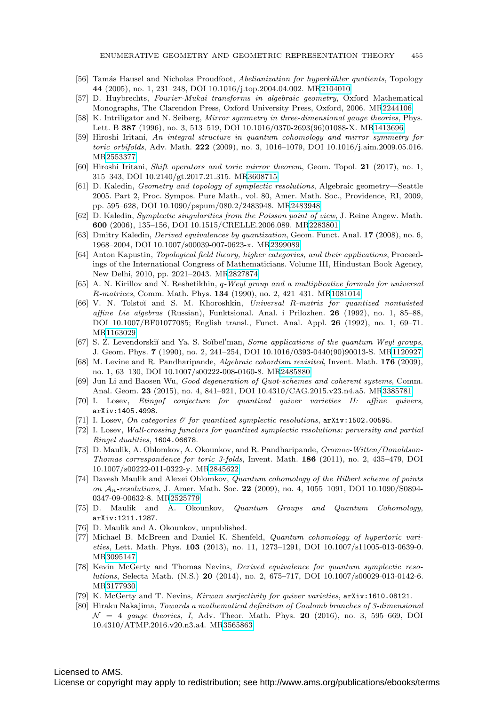- <span id="page-36-17"></span>[56] Tamás Hausel and Nicholas Proudfoot, Abelianization for hyperkähler quotients, Topology **44** (2005), no. 1, 231–248, DOI 10.1016/j.top.2004.04.002. M[R2104010](http://www.ams.org/mathscinet-getitem?mr=2104010)
- <span id="page-36-0"></span>[57] D. Huybrechts, Fourier-Mukai transforms in algebraic geometry, Oxford Mathematical Monographs, The Clarendon Press, Oxford University Press, Oxford, 2006. M[R2244106](http://www.ams.org/mathscinet-getitem?mr=2244106)
- <span id="page-36-2"></span>[58] K. Intriligator and N. Seiberg, Mirror symmetry in three-dimensional gauge theories, Phys. Lett. B **387** (1996), no. 3, 513–519, DOI 10.1016/0370-2693(96)01088-X. M[R1413696](http://www.ams.org/mathscinet-getitem?mr=1413696)
- <span id="page-36-11"></span>[59] Hiroshi Iritani, An integral structure in quantum cohomology and mirror symmetry for toric orbifolds, Adv. Math. **222** (2009), no. 3, 1016–1079, DOI 10.1016/j.aim.2009.05.016. M[R2553377](http://www.ams.org/mathscinet-getitem?mr=2553377)
- <span id="page-36-21"></span>[60] Hiroshi Iritani, Shift operators and toric mirror theorem, Geom. Topol. **21** (2017), no. 1, 315–343, DOI 10.2140/gt.2017.21.315. M[R3608715](http://www.ams.org/mathscinet-getitem?mr=3608715)
- <span id="page-36-1"></span>[61] D. Kaledin, Geometry and topology of symplectic resolutions, Algebraic geometry—Seattle 2005. Part 2, Proc. Sympos. Pure Math., vol. 80, Amer. Math. Soc., Providence, RI, 2009, pp. 595–628, DOI 10.1090/pspum/080.2/2483948. M[R2483948](http://www.ams.org/mathscinet-getitem?mr=2483948)
- <span id="page-36-7"></span>[62] D. Kaledin, Symplectic singularities from the Poisson point of view, J. Reine Angew. Math. **600** (2006), 135–156, DOI 10.1515/CRELLE.2006.089. M[R2283801](http://www.ams.org/mathscinet-getitem?mr=2283801)
- <span id="page-36-12"></span>[63] Dmitry Kaledin, Derived equivalences by quantization, Geom. Funct. Anal. **17** (2008), no. 6, 1968–2004, DOI 10.1007/s00039-007-0623-x. M[R2399089](http://www.ams.org/mathscinet-getitem?mr=2399089)
- <span id="page-36-23"></span>[64] Anton Kapustin, Topological field theory, higher categories, and their applications, Proceedings of the International Congress of Mathematicians. Volume III, Hindustan Book Agency, New Delhi, 2010, pp. 2021–2043. M[R2827874](http://www.ams.org/mathscinet-getitem?mr=2827874)
- <span id="page-36-18"></span>[65] A. N. Kirillov and N. Reshetikhin, q-Weyl group and a multiplicative formula for universal R-matrices, Comm. Math. Phys. **134** (1990), no. 2, 421–431. M[R1081014](http://www.ams.org/mathscinet-getitem?mr=1081014)
- [66] V. N. Tolstoĭ and S. M. Khoroshkin, Universal R-matrix for quantized nontwisted affine Lie algebras (Russian), Funktsional. Anal. i Prilozhen. **26** (1992), no. 1, 85–88, DOI 10.1007/BF01077085; English transl., Funct. Anal. Appl. **26** (1992), no. 1, 69–71. M[R1163029](http://www.ams.org/mathscinet-getitem?mr=1163029)
- <span id="page-36-19"></span>[67] S. Z. Levendorskiĭ and Ya. S. Soĭbel'man, Some applications of the quantum Weyl groups, J. Geom. Phys. **7** (1990), no. 2, 241–254, DOI 10.1016/0393-0440(90)90013-S. M[R1120927](http://www.ams.org/mathscinet-getitem?mr=1120927)
- <span id="page-36-5"></span>[68] M. Levine and R. Pandharipande, Algebraic cobordism revisited, Invent. Math. **176** (2009), no. 1, 63–130, DOI 10.1007/s00222-008-0160-8. M[R2485880](http://www.ams.org/mathscinet-getitem?mr=2485880)
- <span id="page-36-4"></span>[69] Jun Li and Baosen Wu, Good degeneration of Quot-schemes and coherent systems, Comm. Anal. Geom. **23** (2015), no. 4, 841–921, DOI 10.4310/CAG.2015.v23.n4.a5. M[R3385781](http://www.ams.org/mathscinet-getitem?mr=3385781)
- <span id="page-36-13"></span>[70] I. Losev, Etingof conjecture for quantized quiver varieties II: affine quivers, arXiv:1405.4998.
- <span id="page-36-22"></span>[71] I. Losev, On categories  $\mathcal O$  for quantized symplectic resolutions,  $arXiv:1502.00595$ .
- <span id="page-36-14"></span>[72] I. Losev, Wall-crossing functors for quantized symplectic resolutions: perversity and partial Ringel dualities, 1604.06678.
- <span id="page-36-6"></span>[73] D. Maulik, A. Oblomkov, A. Okounkov, and R. Pandharipande, Gromov-Witten/Donaldson-Thomas correspondence for toric 3-folds, Invent. Math. **186** (2011), no. 2, 435–479, DOI 10.1007/s00222-011-0322-y. M[R2845622](http://www.ams.org/mathscinet-getitem?mr=2845622)
- <span id="page-36-20"></span>[74] Davesh Maulik and Alexei Oblomkov, Quantum cohomology of the Hilbert scheme of points on An-resolutions, J. Amer. Math. Soc. **22** (2009), no. 4, 1055–1091, DOI 10.1090/S0894- 0347-09-00632-8. M[R2525779](http://www.ams.org/mathscinet-getitem?mr=2525779)
- <span id="page-36-9"></span>[75] D. Maulik and A. Okounkov, Quantum Groups and Quantum Cohomology, arXiv:1211.1287.
- <span id="page-36-16"></span>[76] D. Maulik and A. Okounkov, unpublished.
- <span id="page-36-10"></span>[77] Michael B. McBreen and Daniel K. Shenfeld, Quantum cohomology of hypertoric varieties, Lett. Math. Phys. **103** (2013), no. 11, 1273–1291, DOI 10.1007/s11005-013-0639-0. M[R3095147](http://www.ams.org/mathscinet-getitem?mr=3095147)
- <span id="page-36-15"></span>[78] Kevin McGerty and Thomas Nevins, Derived equivalence for quantum symplectic resolutions, Selecta Math. (N.S.) **20** (2014), no. 2, 675–717, DOI 10.1007/s00029-013-0142-6. M[R3177930](http://www.ams.org/mathscinet-getitem?mr=3177930)
- <span id="page-36-8"></span>[79] K. McGerty and T. Nevins, Kirwan surjectivity for quiver varieties, arXiv:1610.08121.
- <span id="page-36-3"></span>[80] Hiraku Nakajima, Towards a mathematical definition of Coulomb branches of 3-dimensional  $\mathcal{N} = 4$  gauge theories, I, Adv. Theor. Math. Phys. **20** (2016), no. 3, 595–669, DOI 10.4310/ATMP.2016.v20.n3.a4. M[R3565863](http://www.ams.org/mathscinet-getitem?mr=3565863)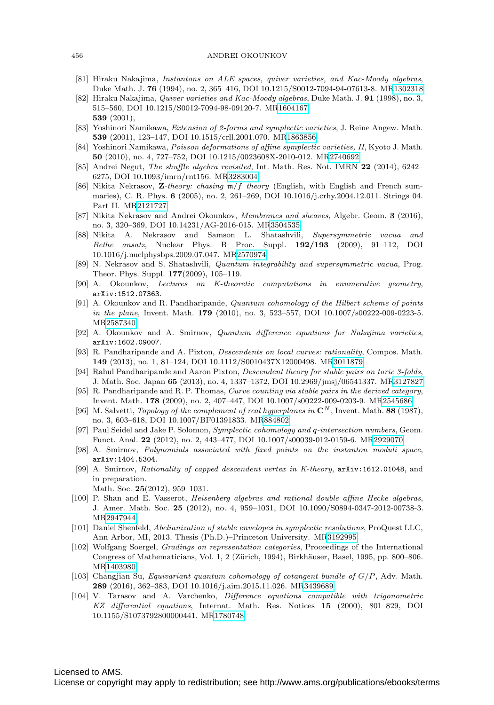#### 456 ANDREI OKOUNKOV

- <span id="page-37-6"></span>[81] Hiraku Nakajima, Instantons on ALE spaces, quiver varieties, and Kac-Moody algebras, Duke Math. J. **76** (1994), no. 2, 365–416, DOI 10.1215/S0012-7094-94-07613-8. M[R1302318](http://www.ams.org/mathscinet-getitem?mr=1302318)
- <span id="page-37-7"></span>[82] Hiraku Nakajima, Quiver varieties and Kac-Moody algebras, Duke Math. J. **91** (1998), no. 3, 515–560, DOI 10.1215/S0012-7094-98-09120-7. M[R1604167](http://www.ams.org/mathscinet-getitem?mr=1604167) **539** (2001),
- <span id="page-37-11"></span>[83] Yoshinori Namikawa, Extension of 2-forms and symplectic varieties, J. Reine Angew. Math. **539** (2001), 123–147, DOI 10.1515/crll.2001.070. M[R1863856](http://www.ams.org/mathscinet-getitem?mr=1863856)
- <span id="page-37-14"></span>[84] Yoshinori Namikawa, Poisson deformations of affine symplectic varieties, II, Kyoto J. Math. **50** (2010), no. 4, 727–752, DOI 10.1215/0023608X-2010-012. M[R2740692](http://www.ams.org/mathscinet-getitem?mr=2740692)
- <span id="page-37-23"></span>[85] Andrei Negut, The shuffle algebra revisited, Int. Math. Res. Not. IMRN **22** (2014), 6242– 6275, DOI 10.1093/imrn/rnt156. M[R3283004](http://www.ams.org/mathscinet-getitem?mr=3283004)
- <span id="page-37-2"></span>[86] Nikita Nekrasov, **Z**-theory: chasing m/f theory (English, with English and French summaries), C. R. Phys. **6** (2005), no. 2, 261–269, DOI 10.1016/j.crhy.2004.12.011. Strings 04. Part II. M[R2121727](http://www.ams.org/mathscinet-getitem?mr=2121727)
- <span id="page-37-1"></span>[87] Nikita Nekrasov and Andrei Okounkov, Membranes and sheaves, Algebr. Geom. **3** (2016), no. 3, 320–369, DOI 10.14231/AG-2016-015. M[R3504535](http://www.ams.org/mathscinet-getitem?mr=3504535)
- <span id="page-37-3"></span>[88] Nikita A. Nekrasov and Samson L. Shatashvili, Supersymmetric vacua and Bethe ansatz, Nuclear Phys. B Proc. Suppl. **192/193** (2009), 91–112, DOI 10.1016/j.nuclphysbps.2009.07.047. M[R2570974](http://www.ams.org/mathscinet-getitem?mr=2570974)
- <span id="page-37-4"></span>[89] N. Nekrasov and S. Shatashvili, Quantum integrability and supersymmetric vacua, Prog. Theor. Phys. Suppl. **177**(2009), 105–119.
- <span id="page-37-0"></span>[90] A. Okounkov, Lectures on K-theoretic computations in enumerative geometry, arXiv:1512.07363.
- <span id="page-37-21"></span>[91] A. Okounkov and R. Pandharipande, Quantum cohomology of the Hilbert scheme of points in the plane, Invent. Math. **179** (2010), no. 3, 523–557, DOI 10.1007/s00222-009-0223-5. M[R2587340](http://www.ams.org/mathscinet-getitem?mr=2587340)
- <span id="page-37-13"></span>[92] A. Okounkov and A. Smirnov, Quantum difference equations for Nakajima varieties, arXiv:1602.09007.
- <span id="page-37-8"></span>[93] R. Pandharipande and A. Pixton, Descendents on local curves: rationality, Compos. Math. **149** (2013), no. 1, 81–124, DOI 10.1112/S0010437X12000498. M[R3011879](http://www.ams.org/mathscinet-getitem?mr=3011879)
- <span id="page-37-9"></span>[94] Rahul Pandharipande and Aaron Pixton, Descendent theory for stable pairs on toric 3-folds, J. Math. Soc. Japan **65** (2013), no. 4, 1337–1372, DOI 10.2969/jmsj/06541337. M[R3127827](http://www.ams.org/mathscinet-getitem?mr=3127827)
- <span id="page-37-12"></span>[95] R. Pandharipande and R. P. Thomas, Curve counting via stable pairs in the derived category, Invent. Math. **178** (2009), no. 2, 407–447, DOI 10.1007/s00222-009-0203-9. M[R2545686](http://www.ams.org/mathscinet-getitem?mr=2545686)
- <span id="page-37-15"></span>[96] M. Salvetti, Topology of the complement of real hyperplanes in **C**<sup>N</sup> , Invent. Math. **88** (1987), no. 3, 603–618, DOI 10.1007/BF01391833. M[R884802](http://www.ams.org/mathscinet-getitem?mr=884802)
- <span id="page-37-16"></span>[97] Paul Seidel and Jake P. Solomon, Symplectic cohomology and q-intersection numbers, Geom. Funct. Anal. **22** (2012), no. 2, 443–477, DOI 10.1007/s00039-012-0159-6. M[R2929070](http://www.ams.org/mathscinet-getitem?mr=2929070)
- <span id="page-37-19"></span>[98] A. Smirnov, Polynomials associated with fixed points on the instanton moduli space, arXiv:1404.5304.
- <span id="page-37-10"></span>[99] A. Smirnov, Rationality of capped descendent vertex in K-theory, arXiv:1612.01048, and in preparation.
	- Math. Soc. **25**(2012), 959–1031.
- <span id="page-37-18"></span>[100] P. Shan and E. Vasserot, Heisenberg algebras and rational double affine Hecke algebras, J. Amer. Math. Soc. **25** (2012), no. 4, 959–1031, DOI 10.1090/S0894-0347-2012-00738-3. M[R2947944](http://www.ams.org/mathscinet-getitem?mr=2947944)
- <span id="page-37-20"></span>[101] Daniel Shenfeld, Abelianization of stable envelopes in symplectic resolutions, ProQuest LLC, Ann Arbor, MI, 2013. Thesis (Ph.D.)–Princeton University. M[R3192995](http://www.ams.org/mathscinet-getitem?mr=3192995)
- <span id="page-37-17"></span>[102] Wolfgang Soergel, Gradings on representation categories, Proceedings of the International Congress of Mathematicians, Vol. 1, 2 (Zürich, 1994), Birkhäuser, Basel, 1995, pp. 800–806. M[R1403980](http://www.ams.org/mathscinet-getitem?mr=1403980)
- <span id="page-37-5"></span>[103] Changjian Su, Equivariant quantum cohomology of cotangent bundle of  $G/P$ , Adv. Math. **289** (2016), 362–383, DOI 10.1016/j.aim.2015.11.026. M[R3439689](http://www.ams.org/mathscinet-getitem?mr=3439689)
- <span id="page-37-22"></span>[104] V. Tarasov and A. Varchenko, Difference equations compatible with trigonometric KZ differential equations, Internat. Math. Res. Notices **15** (2000), 801–829, DOI 10.1155/S1073792800000441. M[R1780748](http://www.ams.org/mathscinet-getitem?mr=1780748)